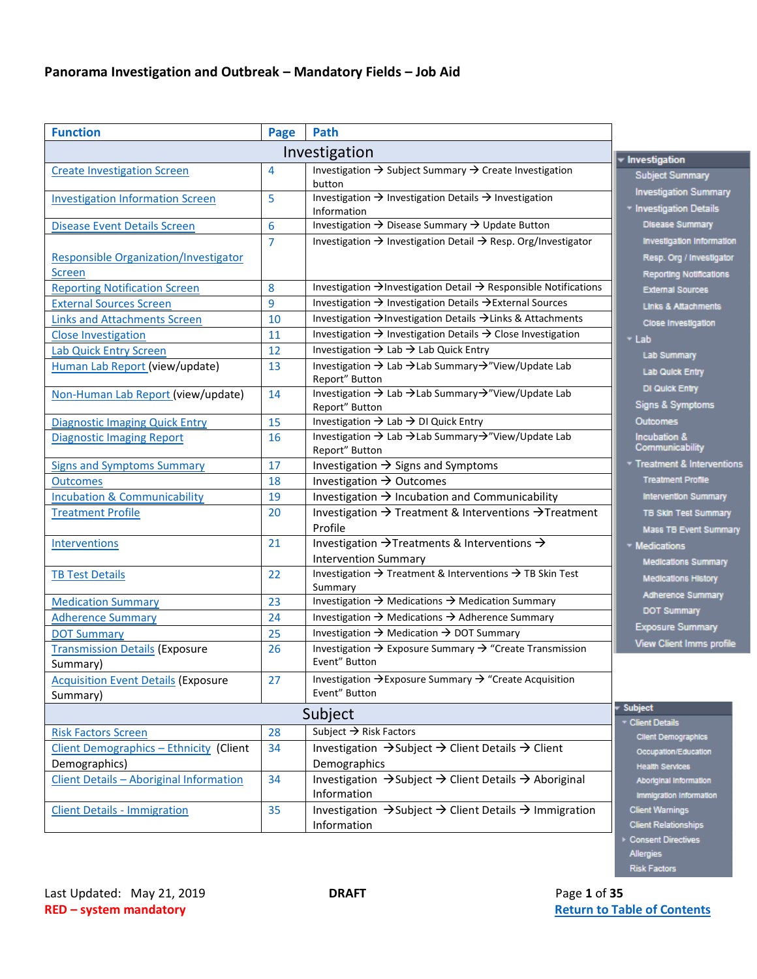<span id="page-0-0"></span>

| <b>Function</b>                                               | Page                             | Path                                                                                                      |                                                                                         |  |
|---------------------------------------------------------------|----------------------------------|-----------------------------------------------------------------------------------------------------------|-----------------------------------------------------------------------------------------|--|
| Investigation<br><b>v</b> Investigation                       |                                  |                                                                                                           |                                                                                         |  |
| <b>Create Investigation Screen</b>                            | $\overline{4}$                   | Investigation $\rightarrow$ Subject Summary $\rightarrow$ Create Investigation<br>button                  | <b>Subject Summary</b>                                                                  |  |
| <b>Investigation Information Screen</b>                       | 5                                | Investigation $\rightarrow$ Investigation Details $\rightarrow$ Investigation<br>Information              | <b>Investigation Summary</b><br>* Investigation Details                                 |  |
| <b>Disease Event Details Screen</b>                           | 6                                | Investigation → Disease Summary → Update Button                                                           | <b>Disease Summary</b>                                                                  |  |
| <b>Responsible Organization/Investigator</b><br><b>Screen</b> | $\overline{7}$                   | Investigation $\rightarrow$ Investigation Detail $\rightarrow$ Resp. Org/Investigator                     | Investigation Information<br>Resp. Org / Investigator<br><b>Reporting Notifications</b> |  |
| <b>Reporting Notification Screen</b>                          | 8                                | Investigation → Investigation Detail → Responsible Notifications                                          | <b>External Sources</b>                                                                 |  |
| <b>External Sources Screen</b>                                | 9                                | Investigation → Investigation Details → External Sources                                                  | Links & Attachments                                                                     |  |
| <b>Links and Attachments Screen</b>                           | 10                               | Investigation → Investigation Details → Links & Attachments                                               | Close Investigation                                                                     |  |
| <b>Close Investigation</b>                                    | 11                               | Investigation $\rightarrow$ Investigation Details $\rightarrow$ Close Investigation                       | $+$ Lab                                                                                 |  |
| <b>Lab Quick Entry Screen</b>                                 | 12                               | Investigation $\rightarrow$ Lab $\rightarrow$ Lab Quick Entry                                             | <b>Lab Summary</b>                                                                      |  |
| Human Lab Report (view/update)                                | 13                               | Investigation → Lab → Lab Summary→"View/Update Lab<br>Report" Button                                      | <b>Lab Quick Entry</b>                                                                  |  |
| Non-Human Lab Report (view/update)                            | 14                               | Investigation → Lab → Lab Summary → "View/Update Lab<br>Report" Button                                    | DI Quick Entry<br>Signs & Symptoms                                                      |  |
| <b>Diagnostic Imaging Quick Entry</b>                         | 15                               | Investigation $\rightarrow$ Lab $\rightarrow$ DI Quick Entry                                              | Outcomes                                                                                |  |
| <b>Diagnostic Imaging Report</b>                              | 16                               | Investigation → Lab → Lab Summary → "View/Update Lab<br>Report" Button                                    | <b>Incubation &amp;</b><br>Communicability                                              |  |
| <b>Signs and Symptoms Summary</b>                             | 17                               | Investigation $\rightarrow$ Signs and Symptoms                                                            | Treatment & Intervention                                                                |  |
| <b>Outcomes</b>                                               | 18                               | Investigation $\rightarrow$ Outcomes                                                                      | <b>Treatment Profile</b>                                                                |  |
| <b>Incubation &amp; Communicability</b>                       | 19                               | Investigation $\rightarrow$ Incubation and Communicability                                                | <b>Intervention Summary</b>                                                             |  |
| <b>Treatment Profile</b>                                      | 20                               | Investigation $\rightarrow$ Treatment & Interventions $\rightarrow$ Treatment<br>Profile                  | <b>TB Skin Test Summary</b><br>Mass TB Event Summan                                     |  |
| Interventions                                                 | 21                               | Investigation $\rightarrow$ Treatments & Interventions $\rightarrow$<br><b>Intervention Summary</b>       | - Medications<br><b>Medications Summary</b>                                             |  |
| <b>TB Test Details</b>                                        | 22                               | Investigation $\rightarrow$ Treatment & Interventions $\rightarrow$ TB Skin Test<br>Summary               | <b>Medications History</b>                                                              |  |
| <b>Medication Summary</b>                                     | 23                               | Investigation $\rightarrow$ Medications $\rightarrow$ Medication Summary                                  | <b>Adherence Summary</b>                                                                |  |
| <b>Adherence Summary</b>                                      | 24                               | Investigation $\rightarrow$ Medications $\rightarrow$ Adherence Summary                                   | <b>DOT Summary</b>                                                                      |  |
| <b>DOT Summary</b>                                            | 25                               | Investigation $\rightarrow$ Medication $\rightarrow$ DOT Summary                                          | <b>Exposure Summary</b>                                                                 |  |
| <b>Transmission Details (Exposure</b><br>Summary)             | 26                               | Investigation → Exposure Summary → "Create Transmission<br>Event" Button                                  | <b>View Client Imms profile</b>                                                         |  |
| <b>Acquisition Event Details (Exposure</b><br>Summary)        | 27                               | Investigation → Exposure Summary → "Create Acquisition<br>Event" Button                                   |                                                                                         |  |
|                                                               | <b>Subject</b><br>Client Details |                                                                                                           |                                                                                         |  |
| <b>Risk Factors Screen</b>                                    | 28                               | Subject $\rightarrow$ Risk Factors                                                                        | <b>Client Demographics</b>                                                              |  |
| <b>Client Demographics - Ethnicity (Client</b>                | 34                               | Investigation $\rightarrow$ Subject $\rightarrow$ Client Details $\rightarrow$ Client                     | Occupation/Education                                                                    |  |
| Demographics)                                                 |                                  | Demographics                                                                                              | <b>Health Services</b>                                                                  |  |
| Client Details - Aboriginal Information                       | 34                               | Investigation $\rightarrow$ Subject $\rightarrow$ Client Details $\rightarrow$ Aboriginal<br>Information  | Aboriginal Information<br>Immigration Information                                       |  |
| <b>Client Details - Immigration</b>                           | 35                               | Investigation $\rightarrow$ Subject $\rightarrow$ Client Details $\rightarrow$ Immigration<br>Information | <b>Client Warnings</b><br><b>Client Relationships</b>                                   |  |
|                                                               |                                  |                                                                                                           | Consent Directives                                                                      |  |

Allergies<br>Risk Factors

erventions

nmary ımmary Summary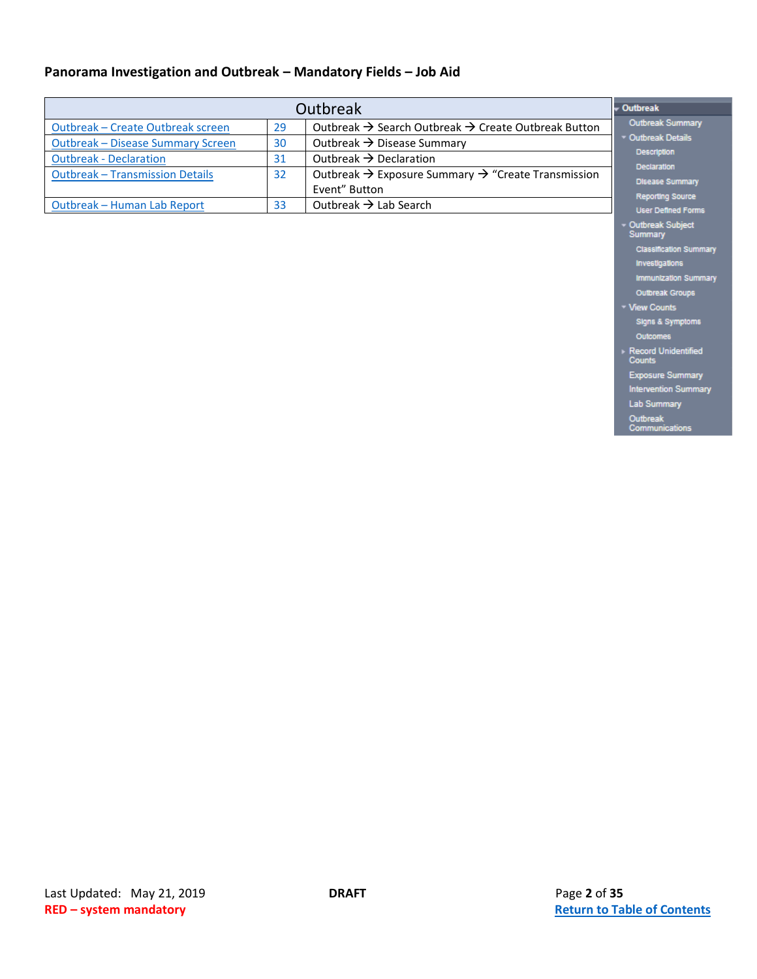|                                          | <b>Outbreak</b>                                                                  |                                                                             |                                              |
|------------------------------------------|----------------------------------------------------------------------------------|-----------------------------------------------------------------------------|----------------------------------------------|
| <b>Outbreak - Create Outbreak screen</b> | 29                                                                               | Outbreak $\rightarrow$ Search Outbreak $\rightarrow$ Create Outbreak Button | <b>Outbreak Summary</b>                      |
| <b>Outbreak - Disease Summary Screen</b> | Outbreak $\rightarrow$ Disease Summary<br>30                                     |                                                                             | <b>Outbreak Details</b>                      |
| <b>Outbreak - Declaration</b>            | 31                                                                               | <b>Description</b>                                                          |                                              |
| <b>Outbreak - Transmission Details</b>   | Outbreak $\rightarrow$ Exposure Summary $\rightarrow$ "Create Transmission<br>32 |                                                                             | <b>Declaration</b><br><b>Disease Summary</b> |
|                                          |                                                                                  | Event" Button                                                               | <b>Reporting Source</b>                      |
| Outbreak - Human Lab Report              | 33                                                                               | Outbreak $\rightarrow$ Lab Search                                           | <b>User Defined Forms</b>                    |

Record Unidentified<br>Counts **Exposure Summary** 

Intervention Summary Lab Summary

Outbreak<br>Communications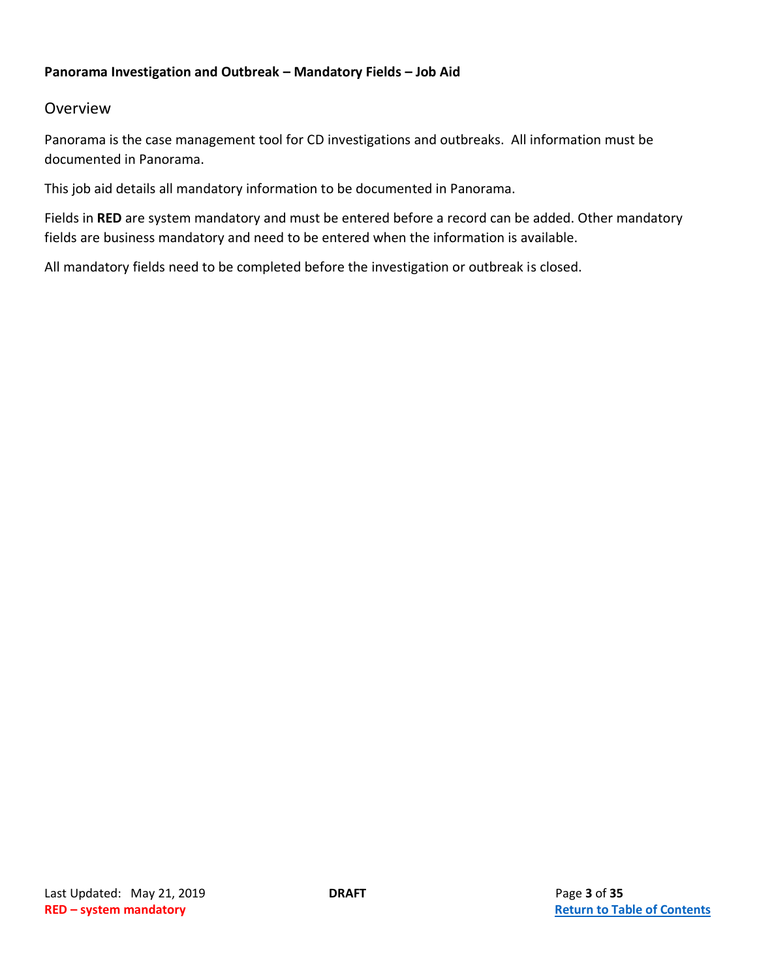#### Overview

Panorama is the case management tool for CD investigations and outbreaks. All information must be documented in Panorama.

This job aid details all mandatory information to be documented in Panorama.

Fields in **RED** are system mandatory and must be entered before a record can be added. Other mandatory fields are business mandatory and need to be entered when the information is available.

All mandatory fields need to be completed before the investigation or outbreak is closed.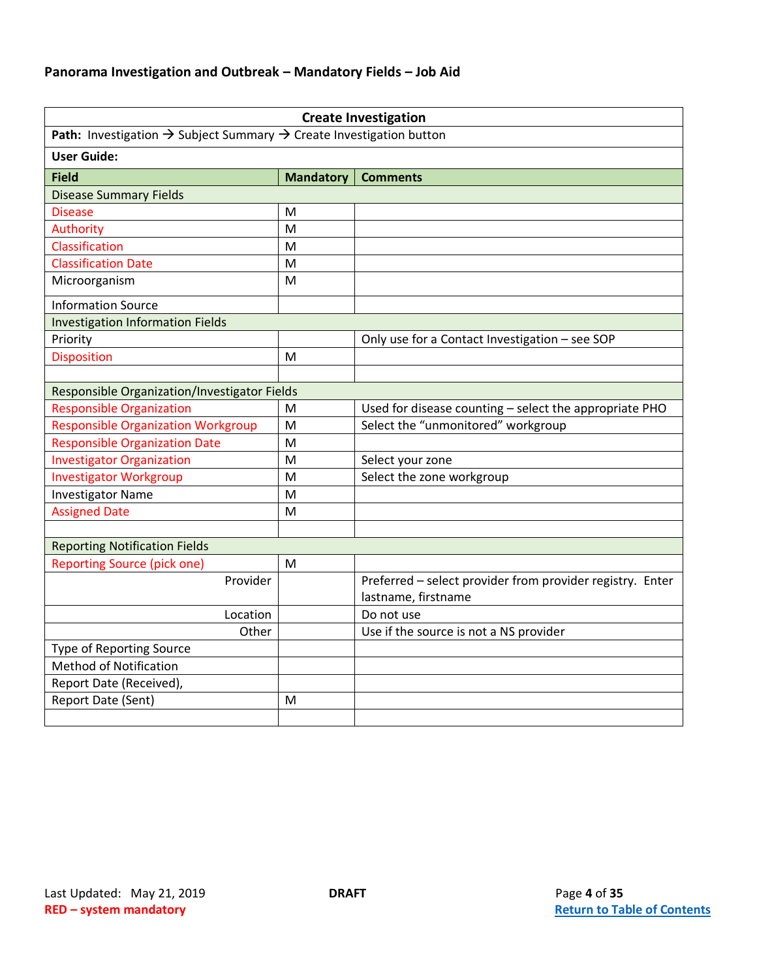<span id="page-3-0"></span>

|                                                                                             |                  | <b>Create Investigation</b>                               |
|---------------------------------------------------------------------------------------------|------------------|-----------------------------------------------------------|
| Path: Investigation $\rightarrow$ Subject Summary $\rightarrow$ Create Investigation button |                  |                                                           |
| <b>User Guide:</b>                                                                          |                  |                                                           |
| <b>Field</b>                                                                                | <b>Mandatory</b> | <b>Comments</b>                                           |
| <b>Disease Summary Fields</b>                                                               |                  |                                                           |
| <b>Disease</b>                                                                              | M                |                                                           |
| Authority                                                                                   | M                |                                                           |
| Classification                                                                              | M                |                                                           |
| <b>Classification Date</b>                                                                  | M                |                                                           |
| Microorganism                                                                               | M                |                                                           |
| <b>Information Source</b>                                                                   |                  |                                                           |
| <b>Investigation Information Fields</b>                                                     |                  |                                                           |
| Priority                                                                                    |                  | Only use for a Contact Investigation - see SOP            |
| <b>Disposition</b>                                                                          | M                |                                                           |
|                                                                                             |                  |                                                           |
| Responsible Organization/Investigator Fields                                                |                  |                                                           |
| <b>Responsible Organization</b>                                                             | M                | Used for disease counting - select the appropriate PHO    |
| <b>Responsible Organization Workgroup</b>                                                   | M                | Select the "unmonitored" workgroup                        |
| <b>Responsible Organization Date</b>                                                        | M                |                                                           |
| <b>Investigator Organization</b>                                                            | M                | Select your zone                                          |
| <b>Investigator Workgroup</b>                                                               | M                | Select the zone workgroup                                 |
| <b>Investigator Name</b>                                                                    | M                |                                                           |
| <b>Assigned Date</b>                                                                        | M                |                                                           |
|                                                                                             |                  |                                                           |
| <b>Reporting Notification Fields</b>                                                        |                  |                                                           |
| <b>Reporting Source (pick one)</b>                                                          | M                |                                                           |
| Provider                                                                                    |                  | Preferred - select provider from provider registry. Enter |
|                                                                                             |                  | lastname, firstname                                       |
| Location                                                                                    |                  | Do not use                                                |
| Other                                                                                       |                  | Use if the source is not a NS provider                    |
| Type of Reporting Source                                                                    |                  |                                                           |
| <b>Method of Notification</b>                                                               |                  |                                                           |
| Report Date (Received),                                                                     |                  |                                                           |
| Report Date (Sent)                                                                          | M                |                                                           |
|                                                                                             |                  |                                                           |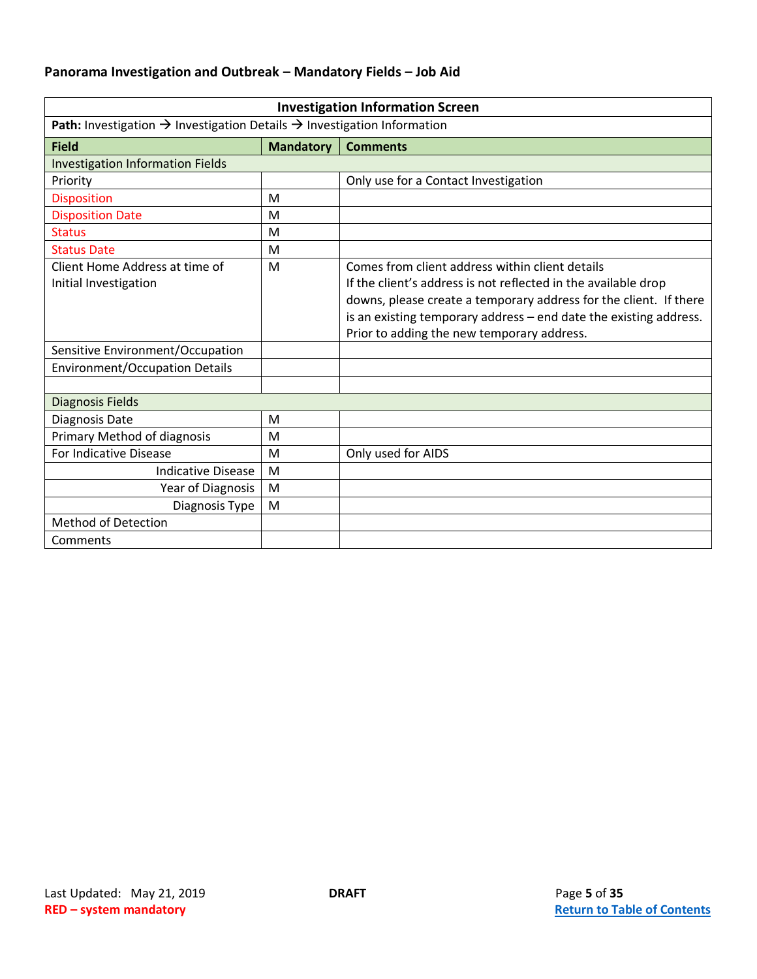<span id="page-4-0"></span>

| <b>Investigation Information Screen</b>                                                         |                  |                                                                                                                                                                                                                                                                                                           |  |
|-------------------------------------------------------------------------------------------------|------------------|-----------------------------------------------------------------------------------------------------------------------------------------------------------------------------------------------------------------------------------------------------------------------------------------------------------|--|
| Path: Investigation $\rightarrow$ Investigation Details $\rightarrow$ Investigation Information |                  |                                                                                                                                                                                                                                                                                                           |  |
| <b>Field</b>                                                                                    | <b>Mandatory</b> | <b>Comments</b>                                                                                                                                                                                                                                                                                           |  |
| <b>Investigation Information Fields</b>                                                         |                  |                                                                                                                                                                                                                                                                                                           |  |
| Priority                                                                                        |                  | Only use for a Contact Investigation                                                                                                                                                                                                                                                                      |  |
| <b>Disposition</b>                                                                              | M                |                                                                                                                                                                                                                                                                                                           |  |
| <b>Disposition Date</b>                                                                         | M                |                                                                                                                                                                                                                                                                                                           |  |
| <b>Status</b>                                                                                   | M                |                                                                                                                                                                                                                                                                                                           |  |
| <b>Status Date</b>                                                                              | M                |                                                                                                                                                                                                                                                                                                           |  |
| Client Home Address at time of<br>Initial Investigation                                         | M                | Comes from client address within client details<br>If the client's address is not reflected in the available drop<br>downs, please create a temporary address for the client. If there<br>is an existing temporary address - end date the existing address.<br>Prior to adding the new temporary address. |  |
| Sensitive Environment/Occupation                                                                |                  |                                                                                                                                                                                                                                                                                                           |  |
| <b>Environment/Occupation Details</b>                                                           |                  |                                                                                                                                                                                                                                                                                                           |  |
|                                                                                                 |                  |                                                                                                                                                                                                                                                                                                           |  |
| <b>Diagnosis Fields</b>                                                                         |                  |                                                                                                                                                                                                                                                                                                           |  |
| Diagnosis Date                                                                                  | M                |                                                                                                                                                                                                                                                                                                           |  |
| Primary Method of diagnosis                                                                     | M                |                                                                                                                                                                                                                                                                                                           |  |
| For Indicative Disease                                                                          | M                | Only used for AIDS                                                                                                                                                                                                                                                                                        |  |
| <b>Indicative Disease</b>                                                                       | M                |                                                                                                                                                                                                                                                                                                           |  |
| Year of Diagnosis                                                                               | M                |                                                                                                                                                                                                                                                                                                           |  |
| Diagnosis Type                                                                                  | M                |                                                                                                                                                                                                                                                                                                           |  |
| <b>Method of Detection</b>                                                                      |                  |                                                                                                                                                                                                                                                                                                           |  |
| Comments                                                                                        |                  |                                                                                                                                                                                                                                                                                                           |  |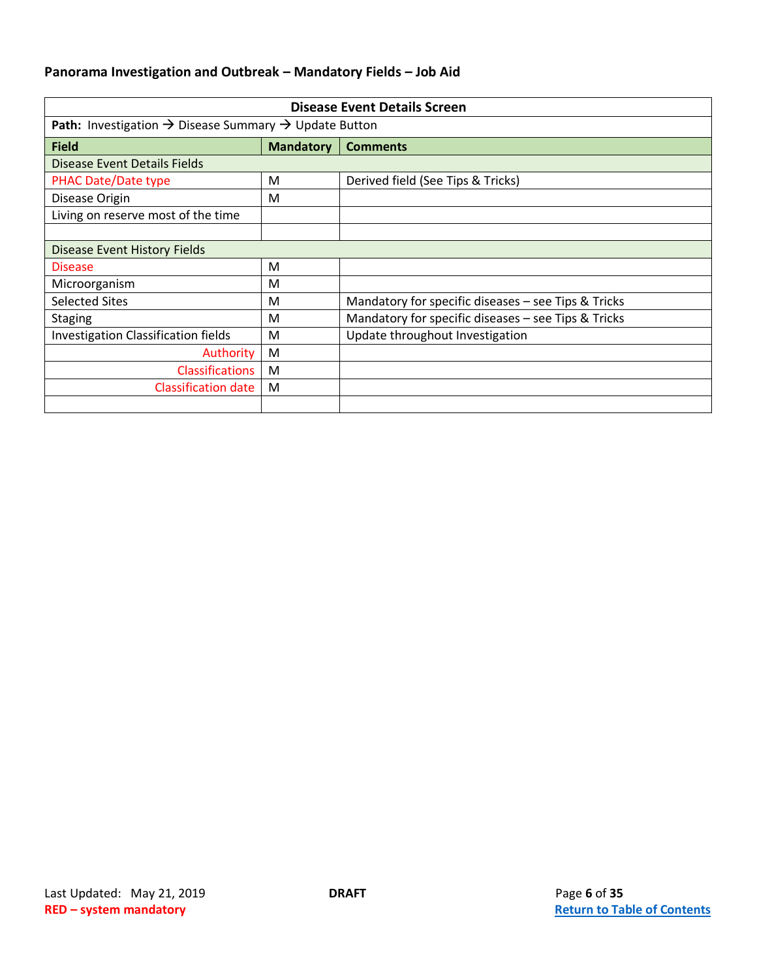<span id="page-5-0"></span>

| <b>Disease Event Details Screen</b>                                                  |                  |                                                     |  |
|--------------------------------------------------------------------------------------|------------------|-----------------------------------------------------|--|
| <b>Path:</b> Investigation $\rightarrow$ Disease Summary $\rightarrow$ Update Button |                  |                                                     |  |
| <b>Field</b>                                                                         | <b>Mandatory</b> | <b>Comments</b>                                     |  |
| Disease Event Details Fields                                                         |                  |                                                     |  |
| <b>PHAC Date/Date type</b>                                                           | M                | Derived field (See Tips & Tricks)                   |  |
| Disease Origin                                                                       | M                |                                                     |  |
| Living on reserve most of the time                                                   |                  |                                                     |  |
|                                                                                      |                  |                                                     |  |
| Disease Event History Fields                                                         |                  |                                                     |  |
| <b>Disease</b>                                                                       | M                |                                                     |  |
| Microorganism                                                                        | M                |                                                     |  |
| <b>Selected Sites</b>                                                                | M                | Mandatory for specific diseases - see Tips & Tricks |  |
| <b>Staging</b>                                                                       | M                | Mandatory for specific diseases - see Tips & Tricks |  |
| <b>Investigation Classification fields</b>                                           | M                | Update throughout Investigation                     |  |
| Authority                                                                            | M                |                                                     |  |
| <b>Classifications</b>                                                               | M                |                                                     |  |
| Classification date                                                                  | M                |                                                     |  |
|                                                                                      |                  |                                                     |  |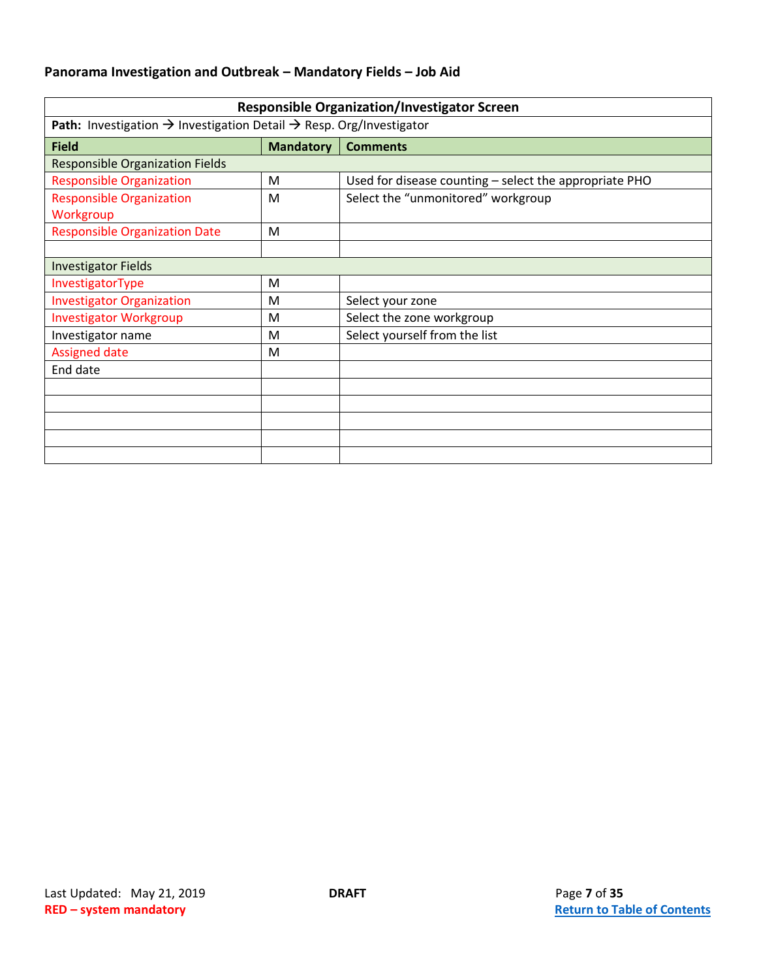<span id="page-6-0"></span>

| <b>Responsible Organization/Investigator Screen</b>                                         |                  |                                                        |  |
|---------------------------------------------------------------------------------------------|------------------|--------------------------------------------------------|--|
| Path: Investigation $\rightarrow$ Investigation Detail $\rightarrow$ Resp. Org/Investigator |                  |                                                        |  |
| <b>Field</b>                                                                                | <b>Mandatory</b> | <b>Comments</b>                                        |  |
| <b>Responsible Organization Fields</b>                                                      |                  |                                                        |  |
| <b>Responsible Organization</b>                                                             | M                | Used for disease counting - select the appropriate PHO |  |
| <b>Responsible Organization</b>                                                             | M                | Select the "unmonitored" workgroup                     |  |
| Workgroup                                                                                   |                  |                                                        |  |
| <b>Responsible Organization Date</b>                                                        | M                |                                                        |  |
|                                                                                             |                  |                                                        |  |
| <b>Investigator Fields</b>                                                                  |                  |                                                        |  |
| InvestigatorType                                                                            | M                |                                                        |  |
| <b>Investigator Organization</b>                                                            | M                | Select your zone                                       |  |
| <b>Investigator Workgroup</b>                                                               | M                | Select the zone workgroup                              |  |
| Investigator name                                                                           | M                | Select yourself from the list                          |  |
| <b>Assigned date</b>                                                                        | M                |                                                        |  |
| End date                                                                                    |                  |                                                        |  |
|                                                                                             |                  |                                                        |  |
|                                                                                             |                  |                                                        |  |
|                                                                                             |                  |                                                        |  |
|                                                                                             |                  |                                                        |  |
|                                                                                             |                  |                                                        |  |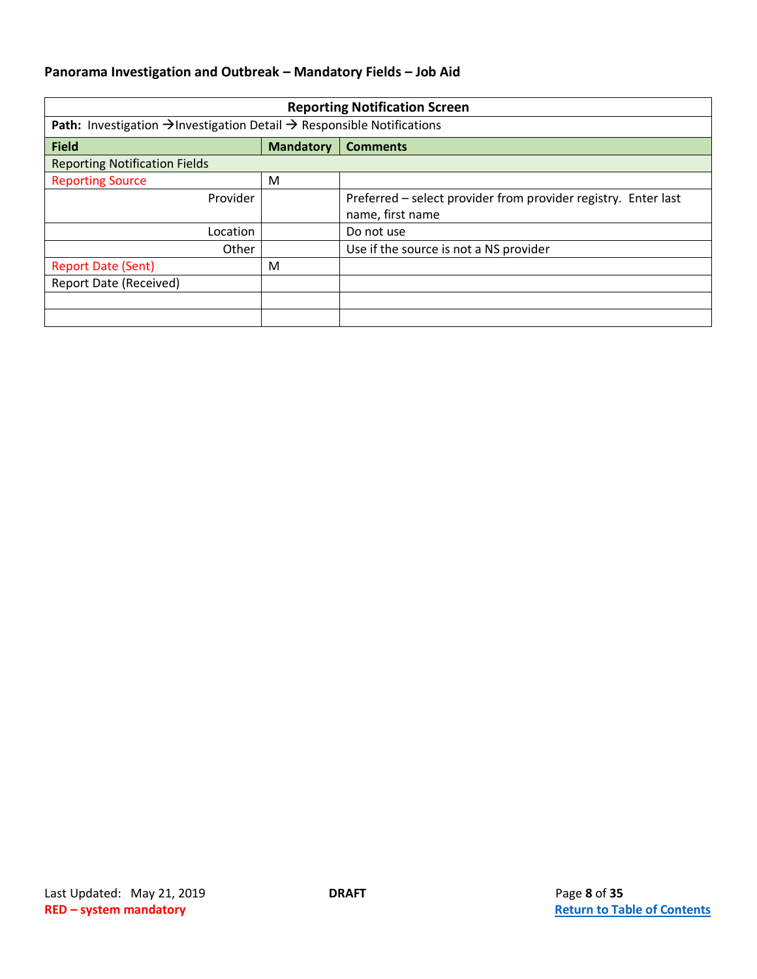<span id="page-7-0"></span>

| <b>Reporting Notification Screen</b>                                                                  |                  |                                                                |  |
|-------------------------------------------------------------------------------------------------------|------------------|----------------------------------------------------------------|--|
| <b>Path:</b> Investigation $\rightarrow$ Investigation Detail $\rightarrow$ Responsible Notifications |                  |                                                                |  |
| <b>Field</b>                                                                                          | <b>Mandatory</b> | <b>Comments</b>                                                |  |
| <b>Reporting Notification Fields</b>                                                                  |                  |                                                                |  |
| <b>Reporting Source</b>                                                                               | M                |                                                                |  |
| Provider                                                                                              |                  | Preferred - select provider from provider registry. Enter last |  |
|                                                                                                       |                  | name, first name                                               |  |
| Location                                                                                              |                  | Do not use                                                     |  |
| Other                                                                                                 |                  | Use if the source is not a NS provider                         |  |
| <b>Report Date (Sent)</b>                                                                             | M                |                                                                |  |
| <b>Report Date (Received)</b>                                                                         |                  |                                                                |  |
|                                                                                                       |                  |                                                                |  |
|                                                                                                       |                  |                                                                |  |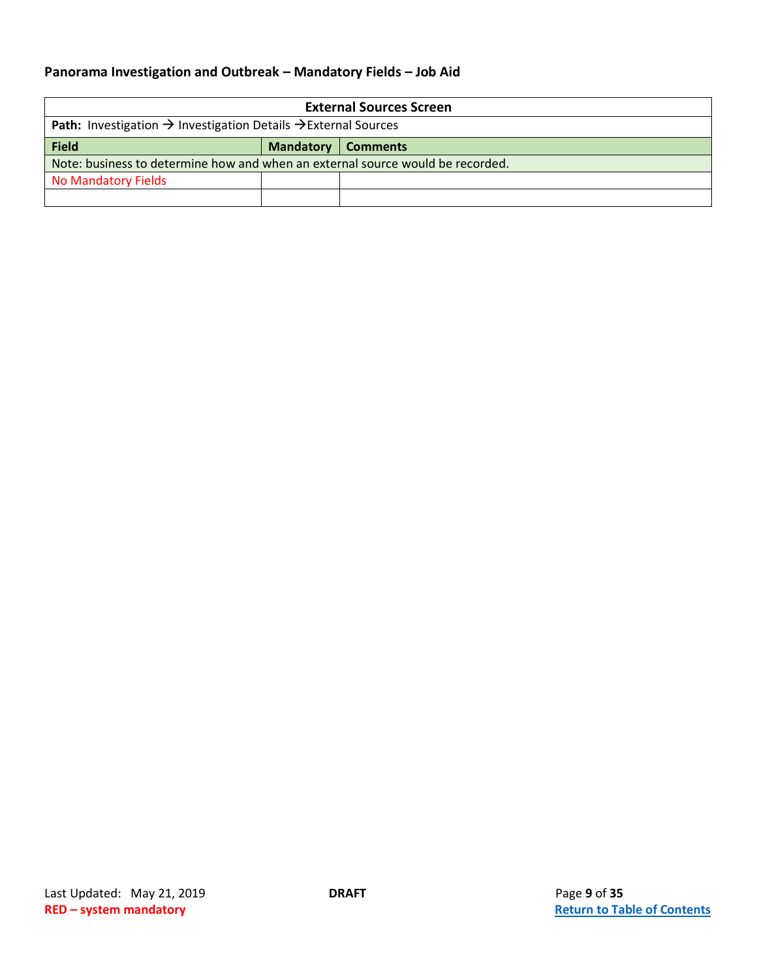<span id="page-8-0"></span>

| <b>External Sources Screen</b>                                                                |  |  |  |
|-----------------------------------------------------------------------------------------------|--|--|--|
| <b>Path:</b> Investigation $\rightarrow$ Investigation Details $\rightarrow$ External Sources |  |  |  |
| <b>Field</b><br><b>Mandatory</b><br><b>Comments</b>                                           |  |  |  |
| Note: business to determine how and when an external source would be recorded.                |  |  |  |
| <b>No Mandatory Fields</b>                                                                    |  |  |  |
|                                                                                               |  |  |  |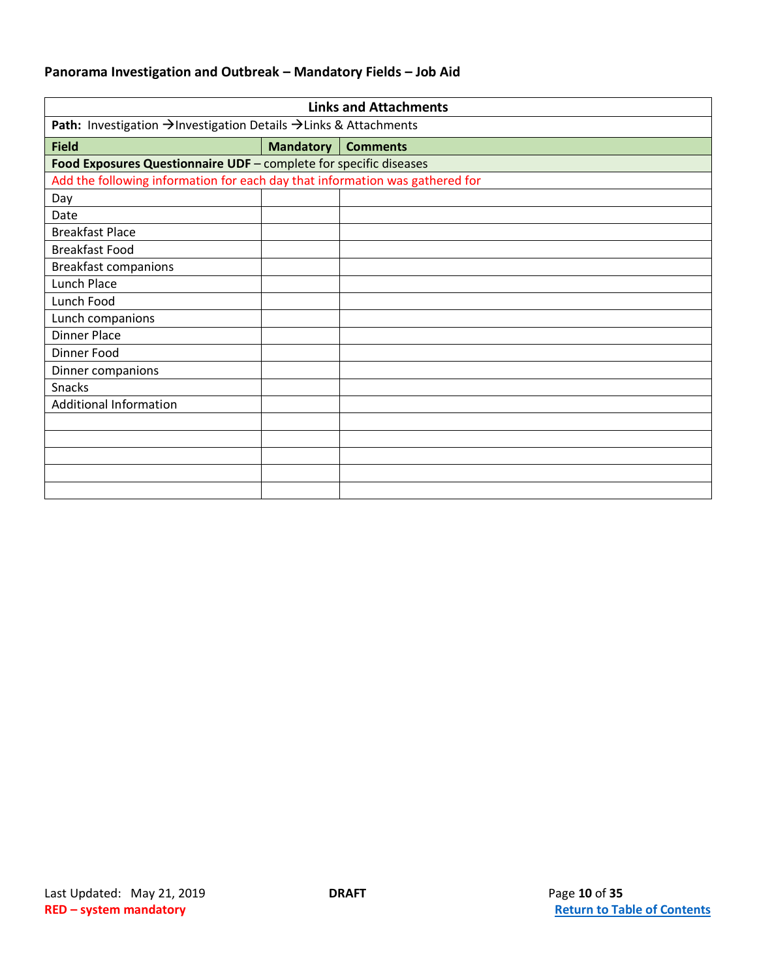<span id="page-9-0"></span>

| <b>Links and Attachments</b>                                                 |                  |                 |  |
|------------------------------------------------------------------------------|------------------|-----------------|--|
| Path: Investigation → Investigation Details → Links & Attachments            |                  |                 |  |
| <b>Field</b>                                                                 | <b>Mandatory</b> | <b>Comments</b> |  |
| Food Exposures Questionnaire UDF - complete for specific diseases            |                  |                 |  |
| Add the following information for each day that information was gathered for |                  |                 |  |
| Day                                                                          |                  |                 |  |
| Date                                                                         |                  |                 |  |
| <b>Breakfast Place</b>                                                       |                  |                 |  |
| <b>Breakfast Food</b>                                                        |                  |                 |  |
| <b>Breakfast companions</b>                                                  |                  |                 |  |
| Lunch Place                                                                  |                  |                 |  |
| Lunch Food                                                                   |                  |                 |  |
| Lunch companions                                                             |                  |                 |  |
| <b>Dinner Place</b>                                                          |                  |                 |  |
| Dinner Food                                                                  |                  |                 |  |
| Dinner companions                                                            |                  |                 |  |
| Snacks                                                                       |                  |                 |  |
| <b>Additional Information</b>                                                |                  |                 |  |
|                                                                              |                  |                 |  |
|                                                                              |                  |                 |  |
|                                                                              |                  |                 |  |
|                                                                              |                  |                 |  |
|                                                                              |                  |                 |  |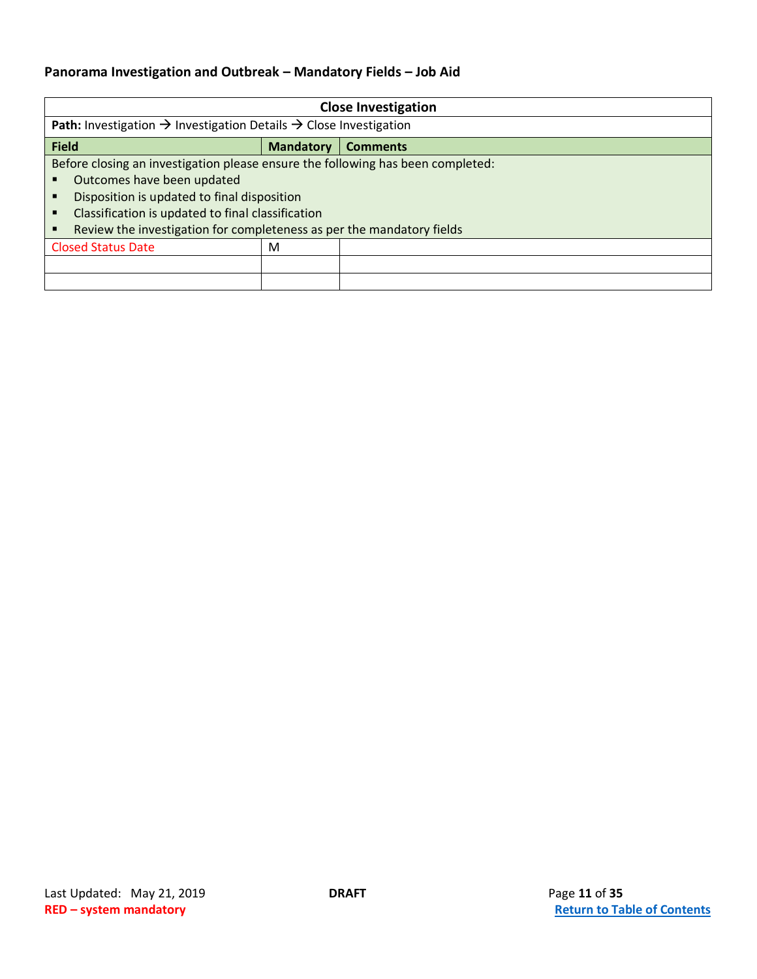<span id="page-10-0"></span>

| <b>Close Investigation</b>                                                                       |                  |                 |  |
|--------------------------------------------------------------------------------------------------|------------------|-----------------|--|
| <b>Path:</b> Investigation $\rightarrow$ Investigation Details $\rightarrow$ Close Investigation |                  |                 |  |
| <b>Field</b>                                                                                     | <b>Mandatory</b> | <b>Comments</b> |  |
| Before closing an investigation please ensure the following has been completed:                  |                  |                 |  |
| Outcomes have been updated                                                                       |                  |                 |  |
| Disposition is updated to final disposition                                                      |                  |                 |  |
| Classification is updated to final classification                                                |                  |                 |  |
| Review the investigation for completeness as per the mandatory fields                            |                  |                 |  |
| <b>Closed Status Date</b>                                                                        | M                |                 |  |
|                                                                                                  |                  |                 |  |
|                                                                                                  |                  |                 |  |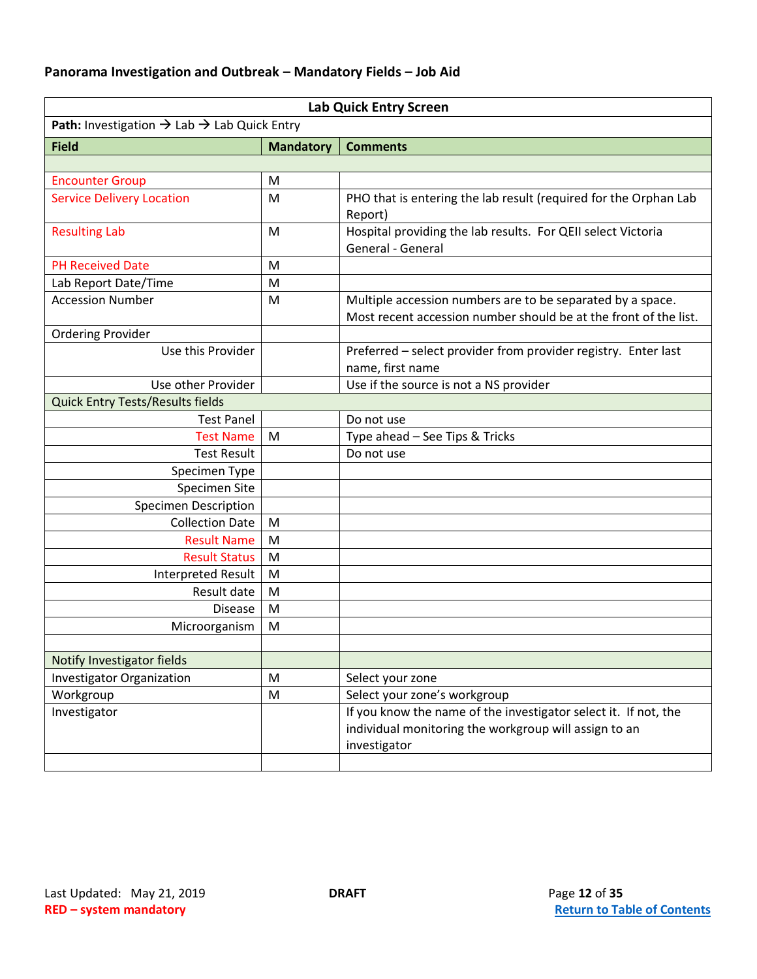<span id="page-11-0"></span>

| <b>Lab Quick Entry Screen</b>                                       |                  |                                                                                                                                          |  |
|---------------------------------------------------------------------|------------------|------------------------------------------------------------------------------------------------------------------------------------------|--|
| Path: Investigation $\rightarrow$ Lab $\rightarrow$ Lab Quick Entry |                  |                                                                                                                                          |  |
| <b>Field</b>                                                        | <b>Mandatory</b> | <b>Comments</b>                                                                                                                          |  |
|                                                                     |                  |                                                                                                                                          |  |
| <b>Encounter Group</b>                                              | M                |                                                                                                                                          |  |
| <b>Service Delivery Location</b>                                    | M                | PHO that is entering the lab result (required for the Orphan Lab<br>Report)                                                              |  |
| <b>Resulting Lab</b>                                                | M                | Hospital providing the lab results. For QEII select Victoria<br>General - General                                                        |  |
| <b>PH Received Date</b>                                             | M                |                                                                                                                                          |  |
| Lab Report Date/Time                                                | M                |                                                                                                                                          |  |
| <b>Accession Number</b>                                             | M                | Multiple accession numbers are to be separated by a space.<br>Most recent accession number should be at the front of the list.           |  |
| <b>Ordering Provider</b>                                            |                  |                                                                                                                                          |  |
| Use this Provider                                                   |                  | Preferred - select provider from provider registry. Enter last<br>name, first name                                                       |  |
| Use other Provider                                                  |                  | Use if the source is not a NS provider                                                                                                   |  |
| Quick Entry Tests/Results fields                                    |                  |                                                                                                                                          |  |
| <b>Test Panel</b>                                                   |                  | Do not use                                                                                                                               |  |
| <b>Test Name</b>                                                    | M                | Type ahead - See Tips & Tricks                                                                                                           |  |
| <b>Test Result</b>                                                  |                  | Do not use                                                                                                                               |  |
| Specimen Type                                                       |                  |                                                                                                                                          |  |
| Specimen Site                                                       |                  |                                                                                                                                          |  |
| <b>Specimen Description</b>                                         |                  |                                                                                                                                          |  |
| <b>Collection Date</b>                                              | M                |                                                                                                                                          |  |
| <b>Result Name</b>                                                  | M                |                                                                                                                                          |  |
| <b>Result Status</b>                                                | M                |                                                                                                                                          |  |
| <b>Interpreted Result</b>                                           | M                |                                                                                                                                          |  |
| Result date                                                         | M                |                                                                                                                                          |  |
| <b>Disease</b>                                                      | M                |                                                                                                                                          |  |
| Microorganism                                                       | M                |                                                                                                                                          |  |
|                                                                     |                  |                                                                                                                                          |  |
| Notify Investigator fields                                          |                  |                                                                                                                                          |  |
| <b>Investigator Organization</b>                                    | M                | Select your zone                                                                                                                         |  |
| Workgroup                                                           | M                | Select your zone's workgroup                                                                                                             |  |
| Investigator                                                        |                  | If you know the name of the investigator select it. If not, the<br>individual monitoring the workgroup will assign to an<br>investigator |  |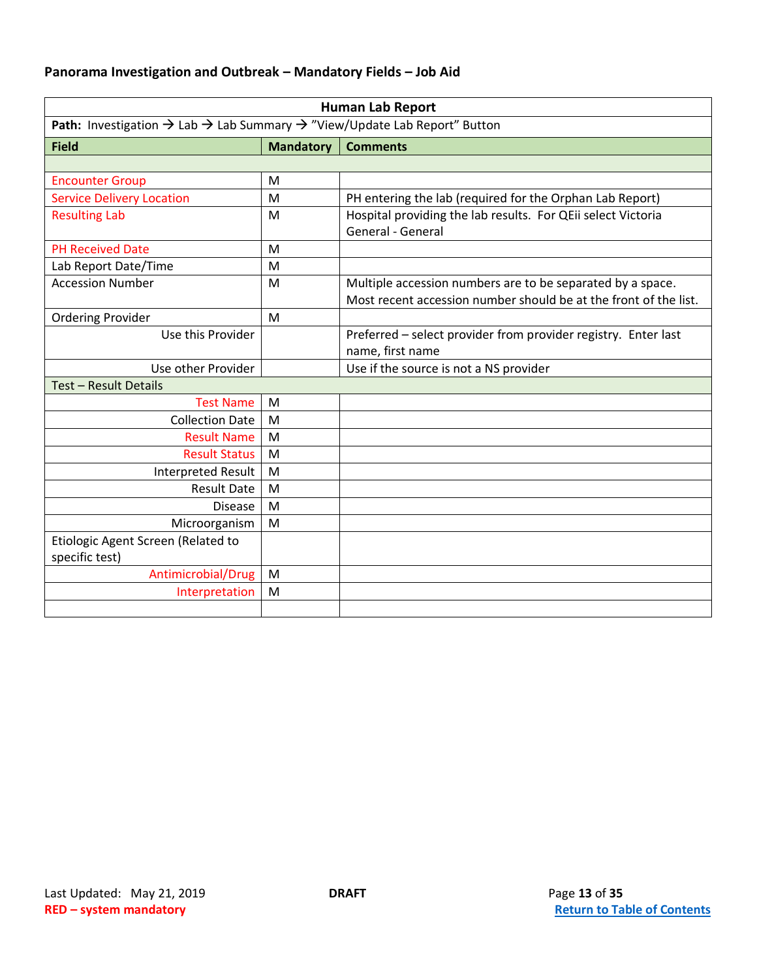<span id="page-12-0"></span>

| <b>Human Lab Report</b>                                                                                       |                  |                                                                                                                                |  |
|---------------------------------------------------------------------------------------------------------------|------------------|--------------------------------------------------------------------------------------------------------------------------------|--|
| Path: Investigation $\rightarrow$ Lab $\rightarrow$ Lab Summary $\rightarrow$ "View/Update Lab Report" Button |                  |                                                                                                                                |  |
| <b>Field</b>                                                                                                  | <b>Mandatory</b> | <b>Comments</b>                                                                                                                |  |
|                                                                                                               |                  |                                                                                                                                |  |
| <b>Encounter Group</b>                                                                                        | M                |                                                                                                                                |  |
| <b>Service Delivery Location</b>                                                                              | M                | PH entering the lab (required for the Orphan Lab Report)                                                                       |  |
| <b>Resulting Lab</b>                                                                                          | M                | Hospital providing the lab results. For QEii select Victoria<br>General - General                                              |  |
| <b>PH Received Date</b>                                                                                       | M                |                                                                                                                                |  |
| Lab Report Date/Time                                                                                          | M                |                                                                                                                                |  |
| <b>Accession Number</b>                                                                                       | M                | Multiple accession numbers are to be separated by a space.<br>Most recent accession number should be at the front of the list. |  |
| <b>Ordering Provider</b>                                                                                      | M                |                                                                                                                                |  |
| Use this Provider                                                                                             |                  | Preferred - select provider from provider registry. Enter last<br>name, first name                                             |  |
| Use other Provider                                                                                            |                  | Use if the source is not a NS provider                                                                                         |  |
| Test - Result Details                                                                                         |                  |                                                                                                                                |  |
| <b>Test Name</b>                                                                                              | M                |                                                                                                                                |  |
| <b>Collection Date</b>                                                                                        | M                |                                                                                                                                |  |
| <b>Result Name</b>                                                                                            | M                |                                                                                                                                |  |
| <b>Result Status</b>                                                                                          | M                |                                                                                                                                |  |
| <b>Interpreted Result</b>                                                                                     | M                |                                                                                                                                |  |
| <b>Result Date</b>                                                                                            | M                |                                                                                                                                |  |
| <b>Disease</b>                                                                                                | M                |                                                                                                                                |  |
| Microorganism                                                                                                 | M                |                                                                                                                                |  |
| Etiologic Agent Screen (Related to<br>specific test)                                                          |                  |                                                                                                                                |  |
| Antimicrobial/Drug                                                                                            | M                |                                                                                                                                |  |
| Interpretation                                                                                                | M                |                                                                                                                                |  |
|                                                                                                               |                  |                                                                                                                                |  |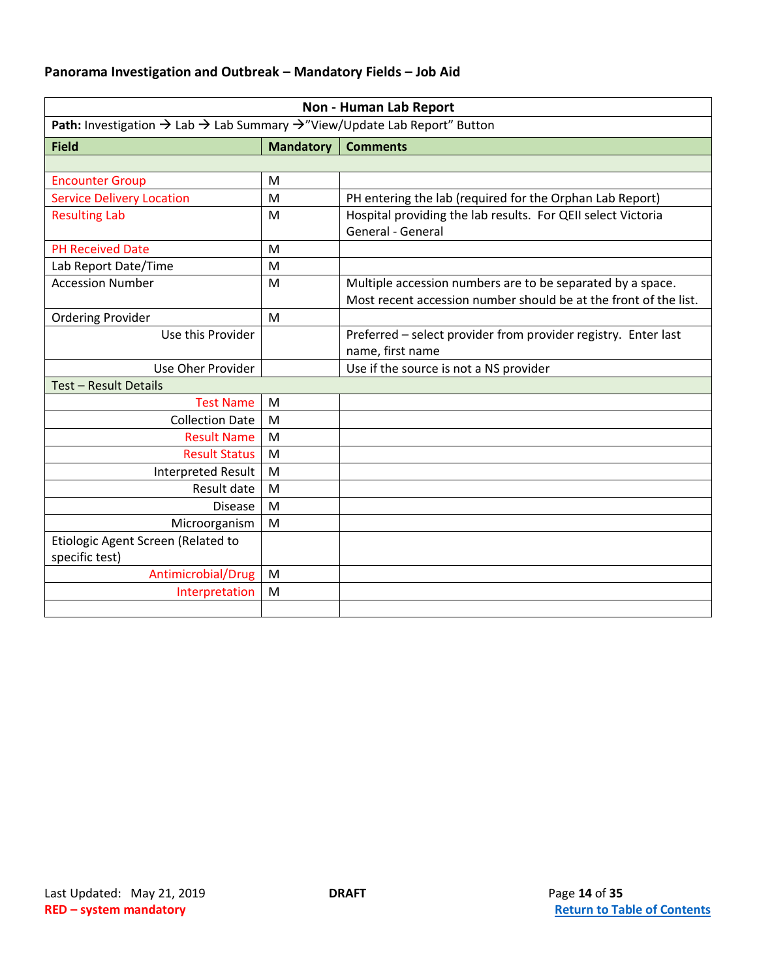<span id="page-13-0"></span>

| <b>Non - Human Lab Report</b>                                                                                 |                  |                                                                                                                                |
|---------------------------------------------------------------------------------------------------------------|------------------|--------------------------------------------------------------------------------------------------------------------------------|
| Path: Investigation $\rightarrow$ Lab $\rightarrow$ Lab Summary $\rightarrow$ "View/Update Lab Report" Button |                  |                                                                                                                                |
| <b>Field</b>                                                                                                  | <b>Mandatory</b> | <b>Comments</b>                                                                                                                |
|                                                                                                               |                  |                                                                                                                                |
| <b>Encounter Group</b>                                                                                        | M                |                                                                                                                                |
| <b>Service Delivery Location</b>                                                                              | M                | PH entering the lab (required for the Orphan Lab Report)                                                                       |
| <b>Resulting Lab</b>                                                                                          | M                | Hospital providing the lab results. For QEII select Victoria<br>General - General                                              |
| <b>PH Received Date</b>                                                                                       | M                |                                                                                                                                |
| Lab Report Date/Time                                                                                          | M                |                                                                                                                                |
| <b>Accession Number</b>                                                                                       | M                | Multiple accession numbers are to be separated by a space.<br>Most recent accession number should be at the front of the list. |
| <b>Ordering Provider</b>                                                                                      | M                |                                                                                                                                |
| Use this Provider                                                                                             |                  | Preferred - select provider from provider registry. Enter last<br>name, first name                                             |
| Use Oher Provider                                                                                             |                  | Use if the source is not a NS provider                                                                                         |
| Test - Result Details                                                                                         |                  |                                                                                                                                |
| <b>Test Name</b>                                                                                              | M                |                                                                                                                                |
| <b>Collection Date</b>                                                                                        | M                |                                                                                                                                |
| <b>Result Name</b>                                                                                            | M                |                                                                                                                                |
| <b>Result Status</b>                                                                                          | M                |                                                                                                                                |
| <b>Interpreted Result</b>                                                                                     | M                |                                                                                                                                |
| Result date                                                                                                   | M                |                                                                                                                                |
| <b>Disease</b>                                                                                                | M                |                                                                                                                                |
| Microorganism                                                                                                 | M                |                                                                                                                                |
| Etiologic Agent Screen (Related to<br>specific test)                                                          |                  |                                                                                                                                |
| Antimicrobial/Drug                                                                                            | M                |                                                                                                                                |
| Interpretation                                                                                                | M                |                                                                                                                                |
|                                                                                                               |                  |                                                                                                                                |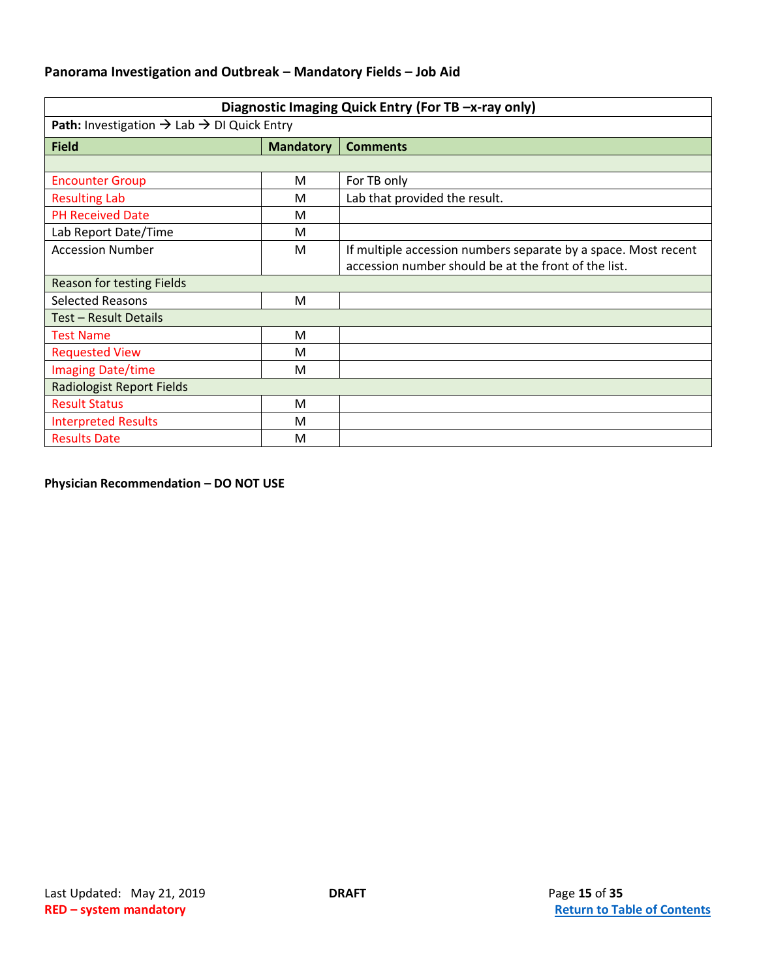<span id="page-14-0"></span>

| Diagnostic Imaging Quick Entry (For TB -x-ray only)                       |                  |                                                                |
|---------------------------------------------------------------------------|------------------|----------------------------------------------------------------|
| <b>Path:</b> Investigation $\rightarrow$ Lab $\rightarrow$ DI Quick Entry |                  |                                                                |
| <b>Field</b>                                                              | <b>Mandatory</b> | <b>Comments</b>                                                |
|                                                                           |                  |                                                                |
| <b>Encounter Group</b>                                                    | M                | For TB only                                                    |
| <b>Resulting Lab</b>                                                      | M                | Lab that provided the result.                                  |
| <b>PH Received Date</b>                                                   | M                |                                                                |
| Lab Report Date/Time                                                      | M                |                                                                |
| <b>Accession Number</b>                                                   | M                | If multiple accession numbers separate by a space. Most recent |
|                                                                           |                  | accession number should be at the front of the list.           |
| Reason for testing Fields                                                 |                  |                                                                |
| <b>Selected Reasons</b>                                                   | M                |                                                                |
| Test - Result Details                                                     |                  |                                                                |
| <b>Test Name</b>                                                          | M                |                                                                |
| <b>Requested View</b>                                                     | M                |                                                                |
| <b>Imaging Date/time</b>                                                  | M                |                                                                |
| <b>Radiologist Report Fields</b>                                          |                  |                                                                |
| <b>Result Status</b>                                                      | M                |                                                                |
| <b>Interpreted Results</b>                                                | M                |                                                                |
| <b>Results Date</b>                                                       | M                |                                                                |

**Physician Recommendation – DO NOT USE**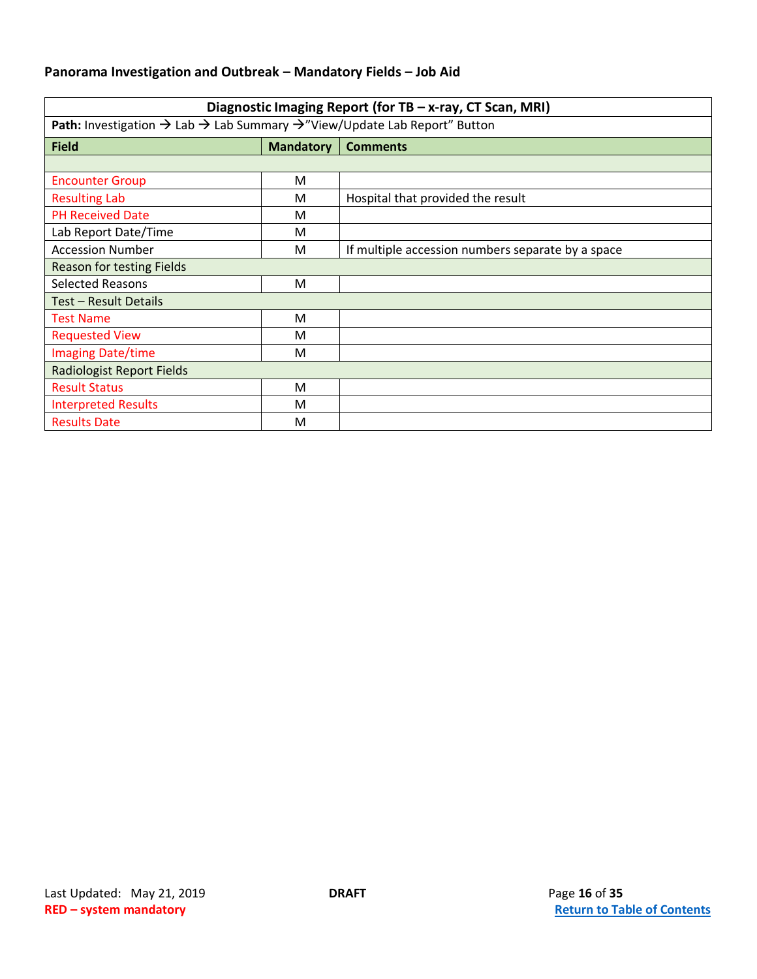<span id="page-15-0"></span>

| Diagnostic Imaging Report (for TB - x-ray, CT Scan, MRI)                                                             |                  |                                                   |
|----------------------------------------------------------------------------------------------------------------------|------------------|---------------------------------------------------|
| <b>Path:</b> Investigation $\rightarrow$ Lab $\rightarrow$ Lab Summary $\rightarrow$ "View/Update Lab Report" Button |                  |                                                   |
| <b>Field</b>                                                                                                         | <b>Mandatory</b> | <b>Comments</b>                                   |
|                                                                                                                      |                  |                                                   |
| <b>Encounter Group</b>                                                                                               | м                |                                                   |
| <b>Resulting Lab</b>                                                                                                 | м                | Hospital that provided the result                 |
| <b>PH Received Date</b>                                                                                              | м                |                                                   |
| Lab Report Date/Time                                                                                                 | м                |                                                   |
| <b>Accession Number</b>                                                                                              | м                | If multiple accession numbers separate by a space |
| Reason for testing Fields                                                                                            |                  |                                                   |
| <b>Selected Reasons</b>                                                                                              | M                |                                                   |
| Test - Result Details                                                                                                |                  |                                                   |
| <b>Test Name</b>                                                                                                     | M                |                                                   |
| <b>Requested View</b>                                                                                                | м                |                                                   |
| <b>Imaging Date/time</b>                                                                                             | М                |                                                   |
| <b>Radiologist Report Fields</b>                                                                                     |                  |                                                   |
| <b>Result Status</b>                                                                                                 | м                |                                                   |
| <b>Interpreted Results</b>                                                                                           | м                |                                                   |
| <b>Results Date</b>                                                                                                  | м                |                                                   |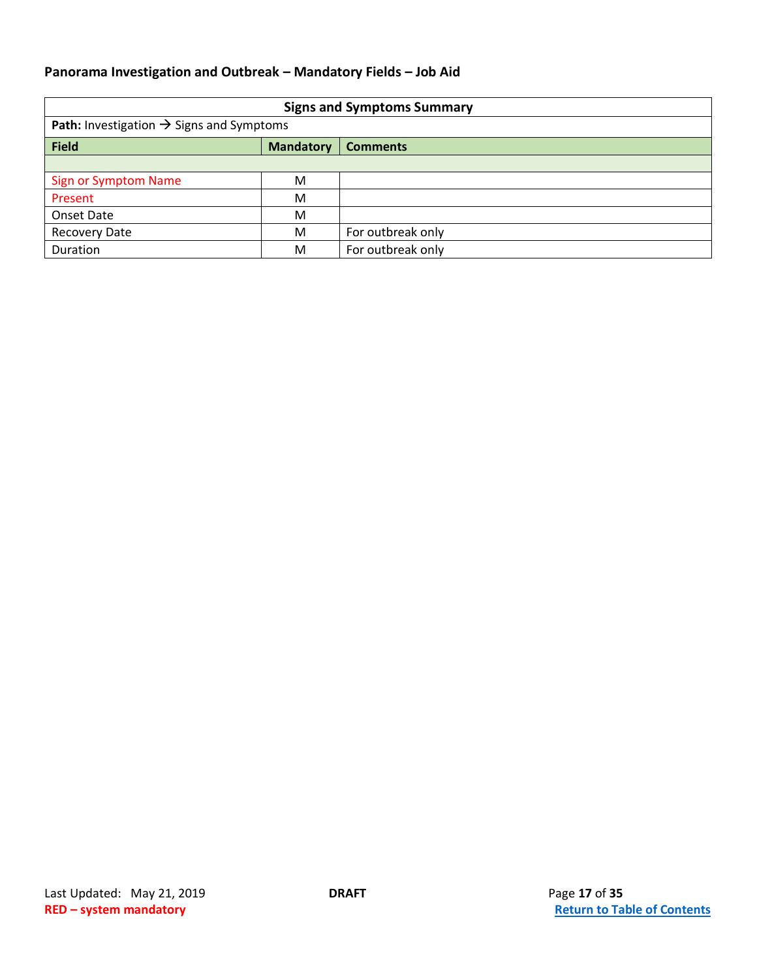<span id="page-16-0"></span>

| <b>Signs and Symptoms Summary</b>                           |                  |                   |  |
|-------------------------------------------------------------|------------------|-------------------|--|
| <b>Path:</b> Investigation $\rightarrow$ Signs and Symptoms |                  |                   |  |
| <b>Field</b>                                                | <b>Mandatory</b> | <b>Comments</b>   |  |
|                                                             |                  |                   |  |
| <b>Sign or Symptom Name</b>                                 | M                |                   |  |
| Present                                                     | M                |                   |  |
| Onset Date                                                  | M                |                   |  |
| <b>Recovery Date</b>                                        | M                | For outbreak only |  |
| Duration                                                    | M                | For outbreak only |  |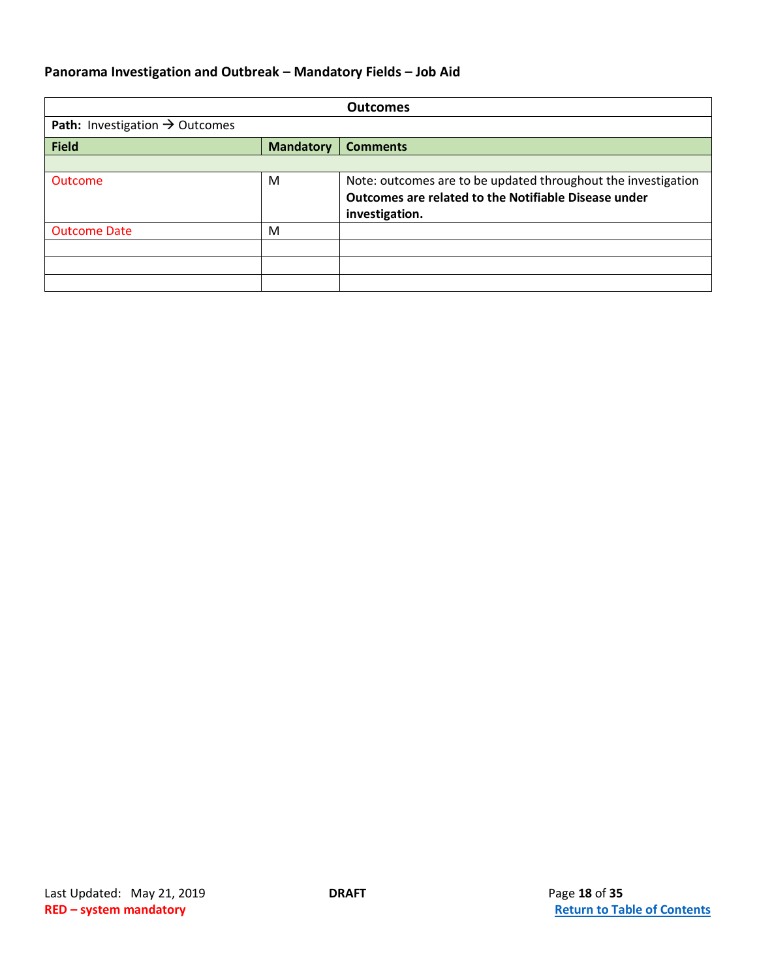<span id="page-17-0"></span>

|                                            |                  | <b>Outcomes</b>                                                                                                                         |
|--------------------------------------------|------------------|-----------------------------------------------------------------------------------------------------------------------------------------|
| Path: Investigation $\rightarrow$ Outcomes |                  |                                                                                                                                         |
| <b>Field</b>                               | <b>Mandatory</b> | <b>Comments</b>                                                                                                                         |
|                                            |                  |                                                                                                                                         |
| <b>Outcome</b>                             | M                | Note: outcomes are to be updated throughout the investigation<br>Outcomes are related to the Notifiable Disease under<br>investigation. |
| <b>Outcome Date</b>                        | M                |                                                                                                                                         |
|                                            |                  |                                                                                                                                         |
|                                            |                  |                                                                                                                                         |
|                                            |                  |                                                                                                                                         |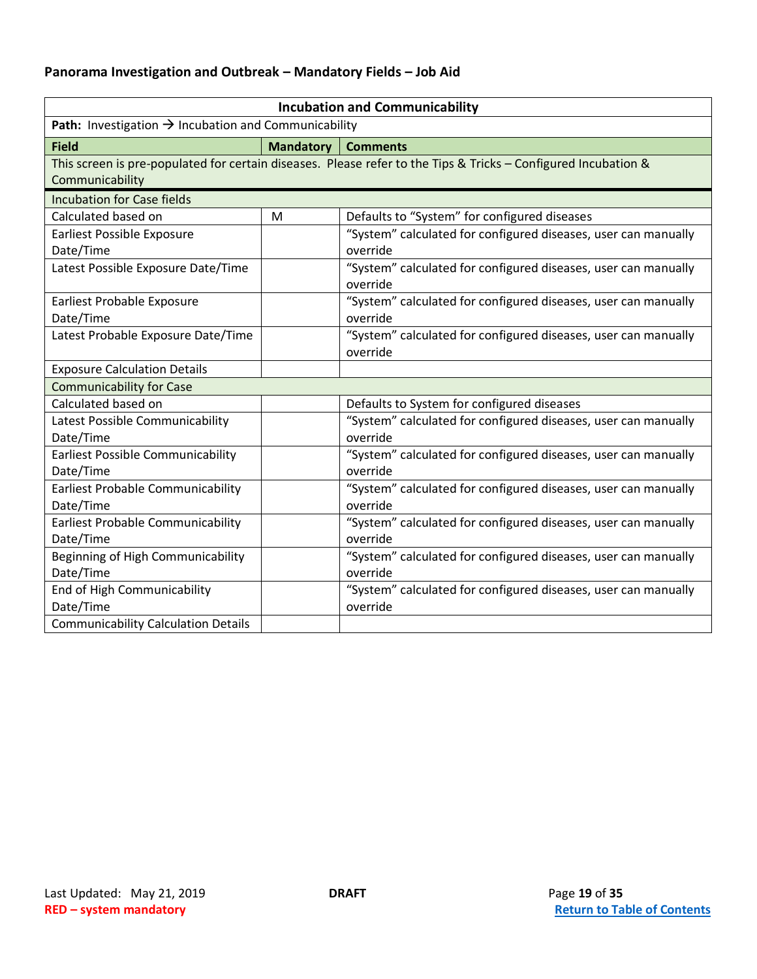<span id="page-18-0"></span>

| <b>Incubation and Communicability</b>                            |                  |                                                                                                                |
|------------------------------------------------------------------|------------------|----------------------------------------------------------------------------------------------------------------|
| Path: Investigation $\rightarrow$ Incubation and Communicability |                  |                                                                                                                |
| <b>Field</b>                                                     | <b>Mandatory</b> | <b>Comments</b>                                                                                                |
|                                                                  |                  | This screen is pre-populated for certain diseases. Please refer to the Tips & Tricks - Configured Incubation & |
| Communicability                                                  |                  |                                                                                                                |
| <b>Incubation for Case fields</b>                                |                  |                                                                                                                |
| Calculated based on                                              | M                | Defaults to "System" for configured diseases                                                                   |
| <b>Earliest Possible Exposure</b>                                |                  | "System" calculated for configured diseases, user can manually                                                 |
| Date/Time                                                        |                  | override                                                                                                       |
| Latest Possible Exposure Date/Time                               |                  | "System" calculated for configured diseases, user can manually                                                 |
|                                                                  |                  | override                                                                                                       |
| Earliest Probable Exposure                                       |                  | "System" calculated for configured diseases, user can manually                                                 |
| Date/Time                                                        |                  | override                                                                                                       |
| Latest Probable Exposure Date/Time                               |                  | "System" calculated for configured diseases, user can manually                                                 |
|                                                                  |                  | override                                                                                                       |
| <b>Exposure Calculation Details</b>                              |                  |                                                                                                                |
| <b>Communicability for Case</b>                                  |                  |                                                                                                                |
| Calculated based on                                              |                  | Defaults to System for configured diseases                                                                     |
| Latest Possible Communicability                                  |                  | "System" calculated for configured diseases, user can manually                                                 |
| Date/Time                                                        |                  | override                                                                                                       |
| Earliest Possible Communicability                                |                  | "System" calculated for configured diseases, user can manually                                                 |
| Date/Time                                                        |                  | override                                                                                                       |
| Earliest Probable Communicability                                |                  | "System" calculated for configured diseases, user can manually                                                 |
| Date/Time                                                        |                  | override                                                                                                       |
| Earliest Probable Communicability                                |                  | "System" calculated for configured diseases, user can manually                                                 |
| Date/Time                                                        |                  | override                                                                                                       |
| Beginning of High Communicability                                |                  | "System" calculated for configured diseases, user can manually                                                 |
| Date/Time                                                        |                  | override                                                                                                       |
| End of High Communicability                                      |                  | "System" calculated for configured diseases, user can manually                                                 |
| Date/Time                                                        |                  | override                                                                                                       |
| <b>Communicability Calculation Details</b>                       |                  |                                                                                                                |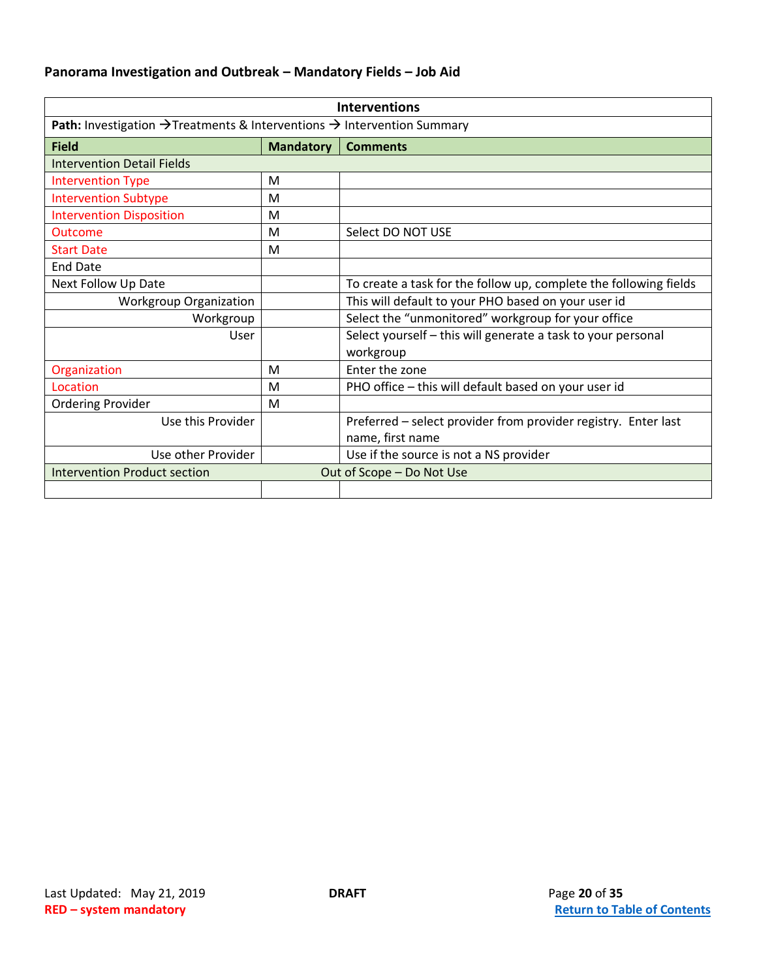<span id="page-19-0"></span>

| <b>Interventions</b>                                                                                   |                  |                                                                   |
|--------------------------------------------------------------------------------------------------------|------------------|-------------------------------------------------------------------|
| <b>Path:</b> Investigation $\rightarrow$ Treatments & Interventions $\rightarrow$ Intervention Summary |                  |                                                                   |
| <b>Field</b>                                                                                           | <b>Mandatory</b> | <b>Comments</b>                                                   |
| <b>Intervention Detail Fields</b>                                                                      |                  |                                                                   |
| <b>Intervention Type</b>                                                                               | M                |                                                                   |
| <b>Intervention Subtype</b>                                                                            | M                |                                                                   |
| <b>Intervention Disposition</b>                                                                        | M                |                                                                   |
| <b>Outcome</b>                                                                                         | M                | Select DO NOT USE                                                 |
| <b>Start Date</b>                                                                                      | M                |                                                                   |
| <b>End Date</b>                                                                                        |                  |                                                                   |
| Next Follow Up Date                                                                                    |                  | To create a task for the follow up, complete the following fields |
| <b>Workgroup Organization</b>                                                                          |                  | This will default to your PHO based on your user id               |
| Workgroup                                                                                              |                  | Select the "unmonitored" workgroup for your office                |
| User                                                                                                   |                  | Select yourself - this will generate a task to your personal      |
|                                                                                                        |                  | workgroup                                                         |
| Organization                                                                                           | M                | Enter the zone                                                    |
| Location                                                                                               | M                | PHO office - this will default based on your user id              |
| <b>Ordering Provider</b>                                                                               | M                |                                                                   |
| Use this Provider                                                                                      |                  | Preferred - select provider from provider registry. Enter last    |
|                                                                                                        |                  | name, first name                                                  |
| Use other Provider                                                                                     |                  | Use if the source is not a NS provider                            |
| Out of Scope - Do Not Use<br><b>Intervention Product section</b>                                       |                  |                                                                   |
|                                                                                                        |                  |                                                                   |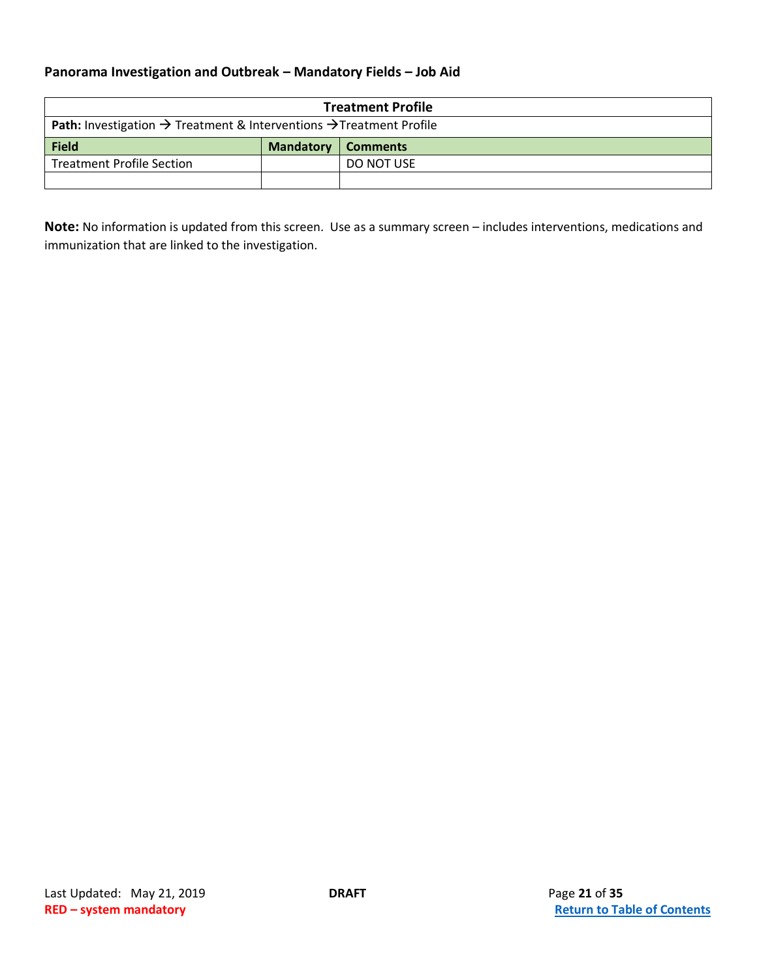<span id="page-20-0"></span>

| <b>Treatment Profile</b>                                                                           |                  |                 |
|----------------------------------------------------------------------------------------------------|------------------|-----------------|
| <b>Path:</b> Investigation $\rightarrow$ Treatment & Interventions $\rightarrow$ Treatment Profile |                  |                 |
| <b>Field</b>                                                                                       | <b>Mandatory</b> | <b>Comments</b> |
| <b>Treatment Profile Section</b>                                                                   |                  | DO NOT USE      |
|                                                                                                    |                  |                 |

**Note:** No information is updated from this screen. Use as a summary screen – includes interventions, medications and immunization that are linked to the investigation.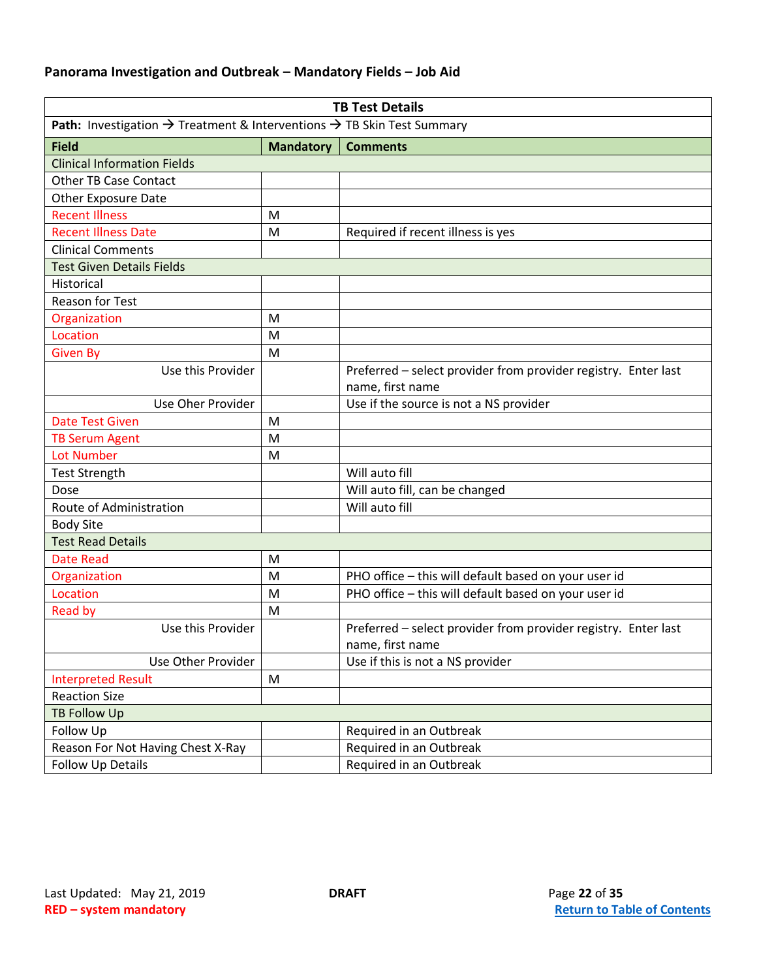<span id="page-21-0"></span>

| <b>TB Test Details</b>                                                                         |                  |                                                                |
|------------------------------------------------------------------------------------------------|------------------|----------------------------------------------------------------|
| Path: Investigation $\rightarrow$ Treatment & Interventions $\rightarrow$ TB Skin Test Summary |                  |                                                                |
| <b>Field</b>                                                                                   | <b>Mandatory</b> | <b>Comments</b>                                                |
| <b>Clinical Information Fields</b>                                                             |                  |                                                                |
| <b>Other TB Case Contact</b>                                                                   |                  |                                                                |
| <b>Other Exposure Date</b>                                                                     |                  |                                                                |
| <b>Recent Illness</b>                                                                          | M                |                                                                |
| <b>Recent Illness Date</b>                                                                     | M                | Required if recent illness is yes                              |
| <b>Clinical Comments</b>                                                                       |                  |                                                                |
| <b>Test Given Details Fields</b>                                                               |                  |                                                                |
| Historical                                                                                     |                  |                                                                |
| <b>Reason for Test</b>                                                                         |                  |                                                                |
| Organization                                                                                   | M                |                                                                |
| Location                                                                                       | M                |                                                                |
| <b>Given By</b>                                                                                | M                |                                                                |
| Use this Provider                                                                              |                  | Preferred - select provider from provider registry. Enter last |
|                                                                                                |                  | name, first name                                               |
| Use Oher Provider                                                                              |                  | Use if the source is not a NS provider                         |
| <b>Date Test Given</b>                                                                         | м                |                                                                |
| <b>TB Serum Agent</b>                                                                          | M                |                                                                |
| <b>Lot Number</b>                                                                              | M                |                                                                |
| <b>Test Strength</b>                                                                           |                  | Will auto fill                                                 |
| Dose                                                                                           |                  | Will auto fill, can be changed                                 |
| Route of Administration                                                                        |                  | Will auto fill                                                 |
| <b>Body Site</b>                                                                               |                  |                                                                |
| <b>Test Read Details</b>                                                                       |                  |                                                                |
| <b>Date Read</b>                                                                               | M                |                                                                |
| Organization                                                                                   | M                | PHO office - this will default based on your user id           |
| Location                                                                                       | M                | PHO office - this will default based on your user id           |
| <b>Read by</b>                                                                                 | M                |                                                                |
| Use this Provider                                                                              |                  | Preferred - select provider from provider registry. Enter last |
|                                                                                                |                  | name, first name                                               |
| Use Other Provider                                                                             |                  | Use if this is not a NS provider                               |
| <b>Interpreted Result</b>                                                                      | ${\sf M}$        |                                                                |
| <b>Reaction Size</b>                                                                           |                  |                                                                |
| <b>TB Follow Up</b>                                                                            |                  |                                                                |
| Follow Up                                                                                      |                  | Required in an Outbreak                                        |
| Reason For Not Having Chest X-Ray                                                              |                  | Required in an Outbreak                                        |
| Follow Up Details                                                                              |                  | Required in an Outbreak                                        |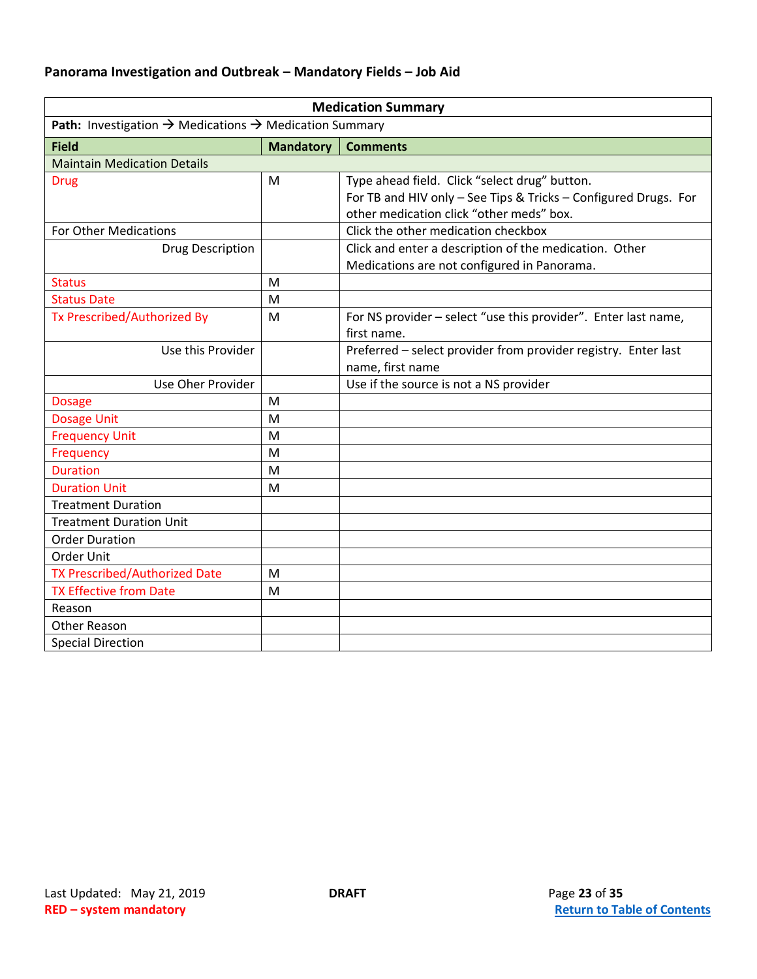<span id="page-22-0"></span>

| <b>Medication Summary</b>                                                      |                  |                                                                                                                                                              |
|--------------------------------------------------------------------------------|------------------|--------------------------------------------------------------------------------------------------------------------------------------------------------------|
| Path: Investigation $\rightarrow$ Medications $\rightarrow$ Medication Summary |                  |                                                                                                                                                              |
| <b>Field</b>                                                                   | <b>Mandatory</b> | <b>Comments</b>                                                                                                                                              |
| <b>Maintain Medication Details</b>                                             |                  |                                                                                                                                                              |
| <b>Drug</b>                                                                    | M                | Type ahead field. Click "select drug" button.<br>For TB and HIV only - See Tips & Tricks - Configured Drugs. For<br>other medication click "other meds" box. |
| <b>For Other Medications</b>                                                   |                  | Click the other medication checkbox                                                                                                                          |
| Drug Description                                                               |                  | Click and enter a description of the medication. Other<br>Medications are not configured in Panorama.                                                        |
| <b>Status</b>                                                                  | M                |                                                                                                                                                              |
| <b>Status Date</b>                                                             | M                |                                                                                                                                                              |
| Tx Prescribed/Authorized By                                                    | M                | For NS provider - select "use this provider". Enter last name,<br>first name.                                                                                |
| Use this Provider                                                              |                  | Preferred - select provider from provider registry. Enter last<br>name, first name                                                                           |
| Use Oher Provider                                                              |                  | Use if the source is not a NS provider                                                                                                                       |
| <b>Dosage</b>                                                                  | M                |                                                                                                                                                              |
| <b>Dosage Unit</b>                                                             | M                |                                                                                                                                                              |
| <b>Frequency Unit</b>                                                          | M                |                                                                                                                                                              |
| Frequency                                                                      | M                |                                                                                                                                                              |
| <b>Duration</b>                                                                | M                |                                                                                                                                                              |
| <b>Duration Unit</b>                                                           | M                |                                                                                                                                                              |
| <b>Treatment Duration</b>                                                      |                  |                                                                                                                                                              |
| <b>Treatment Duration Unit</b>                                                 |                  |                                                                                                                                                              |
| <b>Order Duration</b>                                                          |                  |                                                                                                                                                              |
| Order Unit                                                                     |                  |                                                                                                                                                              |
| <b>TX Prescribed/Authorized Date</b>                                           | M                |                                                                                                                                                              |
| <b>TX Effective from Date</b>                                                  | M                |                                                                                                                                                              |
| Reason                                                                         |                  |                                                                                                                                                              |
| Other Reason                                                                   |                  |                                                                                                                                                              |
| <b>Special Direction</b>                                                       |                  |                                                                                                                                                              |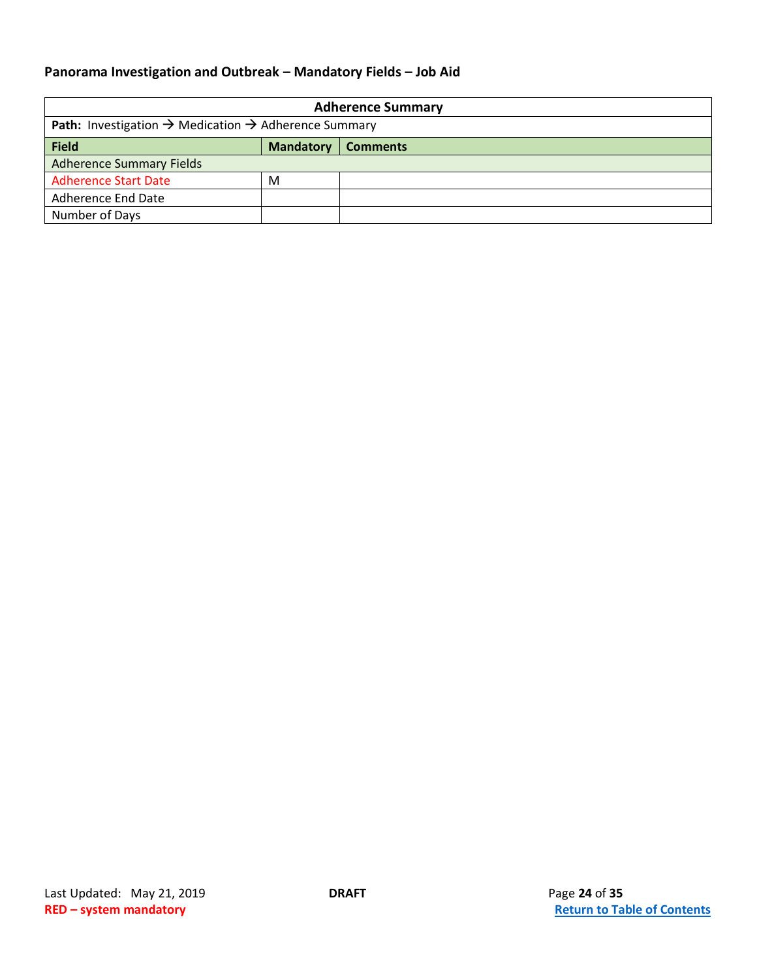<span id="page-23-0"></span>

| <b>Adherence Summary</b>                                                            |                  |                 |  |
|-------------------------------------------------------------------------------------|------------------|-----------------|--|
| <b>Path:</b> Investigation $\rightarrow$ Medication $\rightarrow$ Adherence Summary |                  |                 |  |
| <b>Field</b>                                                                        | <b>Mandatory</b> | <b>Comments</b> |  |
| <b>Adherence Summary Fields</b>                                                     |                  |                 |  |
| <b>Adherence Start Date</b>                                                         | M                |                 |  |
| <b>Adherence End Date</b>                                                           |                  |                 |  |
| Number of Days                                                                      |                  |                 |  |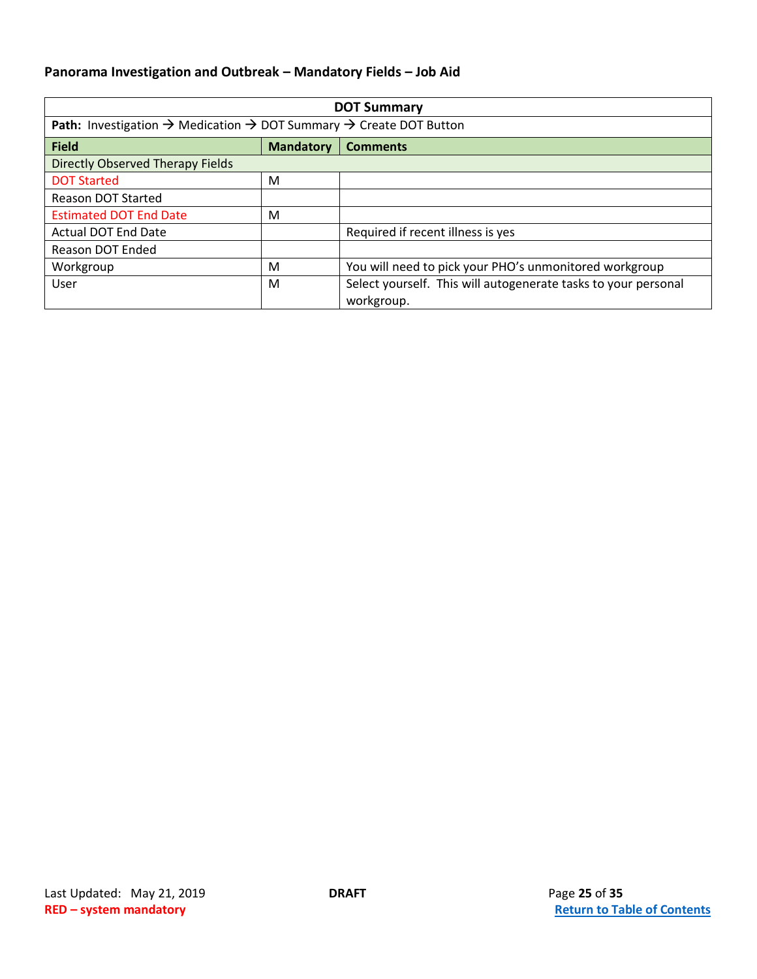<span id="page-24-0"></span>

| <b>DOT Summary</b>                                                                                            |                  |                                                                              |  |
|---------------------------------------------------------------------------------------------------------------|------------------|------------------------------------------------------------------------------|--|
| <b>Path:</b> Investigation $\rightarrow$ Medication $\rightarrow$ DOT Summary $\rightarrow$ Create DOT Button |                  |                                                                              |  |
| <b>Field</b>                                                                                                  | <b>Mandatory</b> | <b>Comments</b>                                                              |  |
| Directly Observed Therapy Fields                                                                              |                  |                                                                              |  |
| <b>DOT Started</b>                                                                                            | M                |                                                                              |  |
| Reason DOT Started                                                                                            |                  |                                                                              |  |
| <b>Estimated DOT End Date</b>                                                                                 | M                |                                                                              |  |
| <b>Actual DOT End Date</b>                                                                                    |                  | Required if recent illness is yes                                            |  |
| Reason DOT Ended                                                                                              |                  |                                                                              |  |
| Workgroup                                                                                                     | M                | You will need to pick your PHO's unmonitored workgroup                       |  |
| <b>User</b>                                                                                                   | M                | Select yourself. This will autogenerate tasks to your personal<br>workgroup. |  |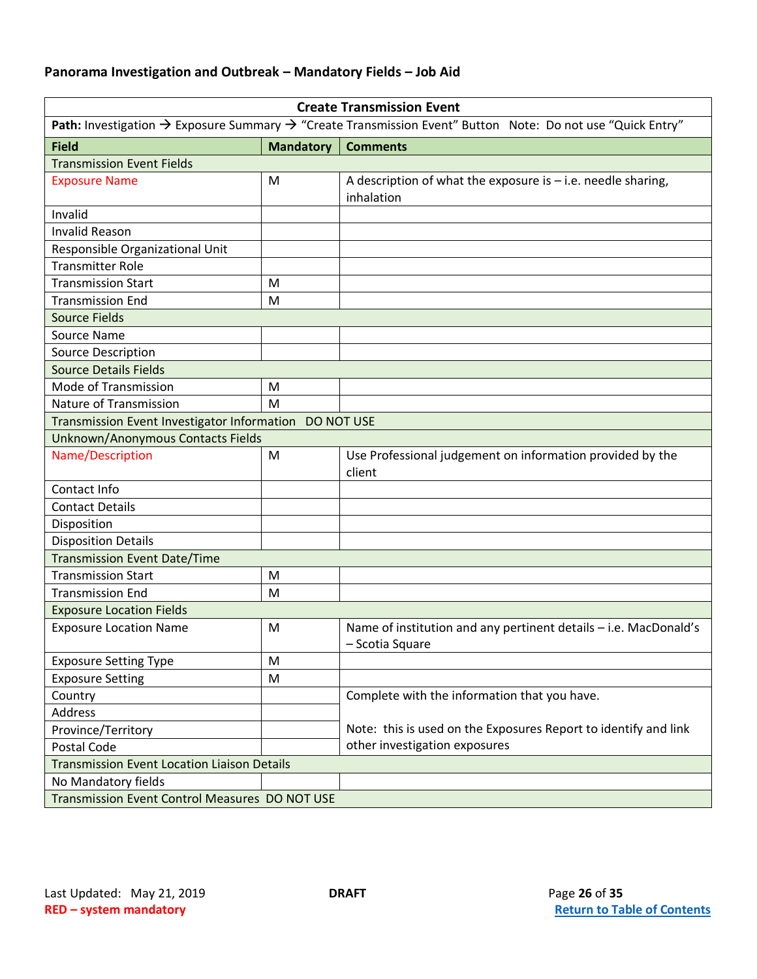<span id="page-25-0"></span>

| <b>Create Transmission Event</b>                                                                                                   |                  |                                                                                     |
|------------------------------------------------------------------------------------------------------------------------------------|------------------|-------------------------------------------------------------------------------------|
| Path: Investigation $\rightarrow$ Exposure Summary $\rightarrow$ "Create Transmission Event" Button Note: Do not use "Quick Entry" |                  |                                                                                     |
| <b>Field</b>                                                                                                                       | <b>Mandatory</b> | <b>Comments</b>                                                                     |
| <b>Transmission Event Fields</b>                                                                                                   |                  |                                                                                     |
| <b>Exposure Name</b>                                                                                                               | M                | A description of what the exposure is $-$ i.e. needle sharing,<br>inhalation        |
| Invalid                                                                                                                            |                  |                                                                                     |
| <b>Invalid Reason</b>                                                                                                              |                  |                                                                                     |
| Responsible Organizational Unit                                                                                                    |                  |                                                                                     |
| <b>Transmitter Role</b>                                                                                                            |                  |                                                                                     |
| <b>Transmission Start</b>                                                                                                          | M                |                                                                                     |
| <b>Transmission End</b>                                                                                                            | M                |                                                                                     |
| <b>Source Fields</b>                                                                                                               |                  |                                                                                     |
| Source Name                                                                                                                        |                  |                                                                                     |
| <b>Source Description</b>                                                                                                          |                  |                                                                                     |
| <b>Source Details Fields</b>                                                                                                       |                  |                                                                                     |
| Mode of Transmission                                                                                                               | M                |                                                                                     |
| Nature of Transmission                                                                                                             | M                |                                                                                     |
| Transmission Event Investigator Information DO NOT USE                                                                             |                  |                                                                                     |
| Unknown/Anonymous Contacts Fields                                                                                                  |                  |                                                                                     |
| Name/Description                                                                                                                   | M                | Use Professional judgement on information provided by the<br>client                 |
| Contact Info                                                                                                                       |                  |                                                                                     |
| <b>Contact Details</b>                                                                                                             |                  |                                                                                     |
| Disposition                                                                                                                        |                  |                                                                                     |
| <b>Disposition Details</b>                                                                                                         |                  |                                                                                     |
| <b>Transmission Event Date/Time</b>                                                                                                |                  |                                                                                     |
| <b>Transmission Start</b>                                                                                                          | M                |                                                                                     |
| <b>Transmission End</b>                                                                                                            | M                |                                                                                     |
| <b>Exposure Location Fields</b>                                                                                                    |                  |                                                                                     |
| <b>Exposure Location Name</b>                                                                                                      | M                | Name of institution and any pertinent details - i.e. MacDonald's<br>- Scotia Square |
| <b>Exposure Setting Type</b>                                                                                                       | M                |                                                                                     |
| <b>Exposure Setting</b>                                                                                                            | M                |                                                                                     |
| Country                                                                                                                            |                  | Complete with the information that you have.                                        |
| Address                                                                                                                            |                  |                                                                                     |
| Province/Territory                                                                                                                 |                  | Note: this is used on the Exposures Report to identify and link                     |
| Postal Code                                                                                                                        |                  | other investigation exposures                                                       |
| <b>Transmission Event Location Liaison Details</b>                                                                                 |                  |                                                                                     |
| No Mandatory fields                                                                                                                |                  |                                                                                     |
| Transmission Event Control Measures DO NOT USE                                                                                     |                  |                                                                                     |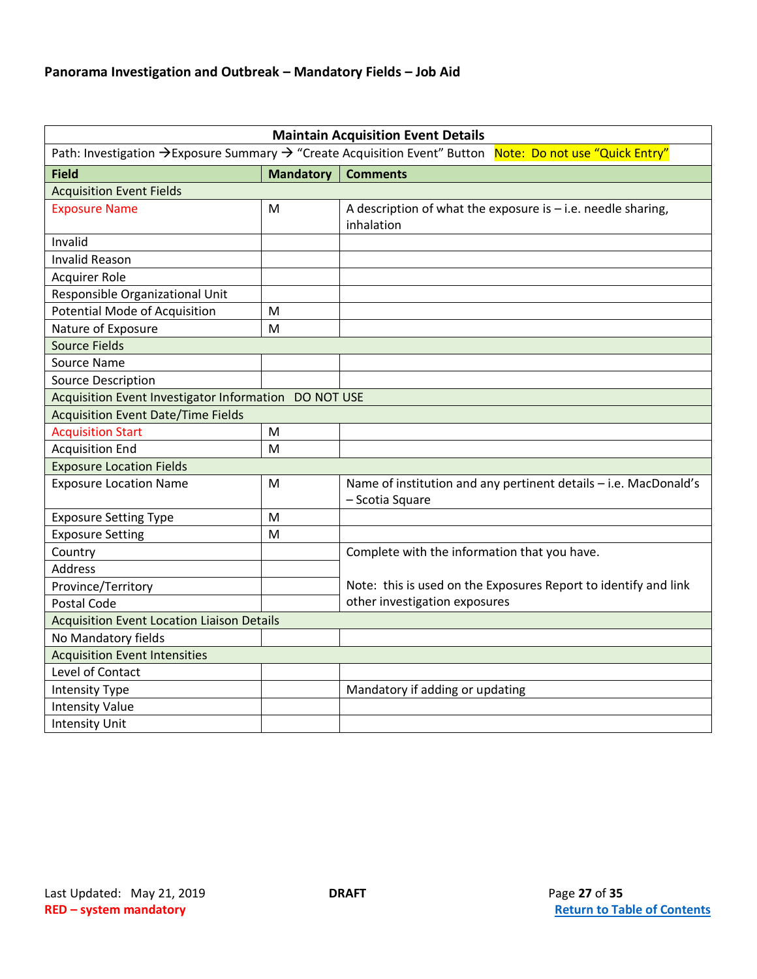<span id="page-26-0"></span>

| <b>Maintain Acquisition Event Details</b>                                                                 |                  |                                                                                     |
|-----------------------------------------------------------------------------------------------------------|------------------|-------------------------------------------------------------------------------------|
| Path: Investigation → Exposure Summary → "Create Acquisition Event" Button Note: Do not use "Quick Entry" |                  |                                                                                     |
| <b>Field</b>                                                                                              | <b>Mandatory</b> | <b>Comments</b>                                                                     |
| <b>Acquisition Event Fields</b>                                                                           |                  |                                                                                     |
| <b>Exposure Name</b>                                                                                      | M                | A description of what the exposure is $-$ i.e. needle sharing,<br>inhalation        |
| Invalid                                                                                                   |                  |                                                                                     |
| <b>Invalid Reason</b>                                                                                     |                  |                                                                                     |
| <b>Acquirer Role</b>                                                                                      |                  |                                                                                     |
| Responsible Organizational Unit                                                                           |                  |                                                                                     |
| <b>Potential Mode of Acquisition</b>                                                                      | M                |                                                                                     |
| Nature of Exposure                                                                                        | M                |                                                                                     |
| <b>Source Fields</b>                                                                                      |                  |                                                                                     |
| Source Name                                                                                               |                  |                                                                                     |
| <b>Source Description</b>                                                                                 |                  |                                                                                     |
| Acquisition Event Investigator Information DO NOT USE                                                     |                  |                                                                                     |
| <b>Acquisition Event Date/Time Fields</b>                                                                 |                  |                                                                                     |
| <b>Acquisition Start</b>                                                                                  | M                |                                                                                     |
| <b>Acquisition End</b>                                                                                    | M                |                                                                                     |
| <b>Exposure Location Fields</b>                                                                           |                  |                                                                                     |
| <b>Exposure Location Name</b>                                                                             | M                | Name of institution and any pertinent details - i.e. MacDonald's<br>- Scotia Square |
| <b>Exposure Setting Type</b>                                                                              | M                |                                                                                     |
| <b>Exposure Setting</b>                                                                                   | M                |                                                                                     |
| Country                                                                                                   |                  | Complete with the information that you have.                                        |
| <b>Address</b>                                                                                            |                  |                                                                                     |
| Province/Territory                                                                                        |                  | Note: this is used on the Exposures Report to identify and link                     |
| <b>Postal Code</b>                                                                                        |                  | other investigation exposures                                                       |
| <b>Acquisition Event Location Liaison Details</b>                                                         |                  |                                                                                     |
| No Mandatory fields                                                                                       |                  |                                                                                     |
| <b>Acquisition Event Intensities</b>                                                                      |                  |                                                                                     |
| Level of Contact                                                                                          |                  |                                                                                     |
| <b>Intensity Type</b>                                                                                     |                  | Mandatory if adding or updating                                                     |
| <b>Intensity Value</b>                                                                                    |                  |                                                                                     |
| <b>Intensity Unit</b>                                                                                     |                  |                                                                                     |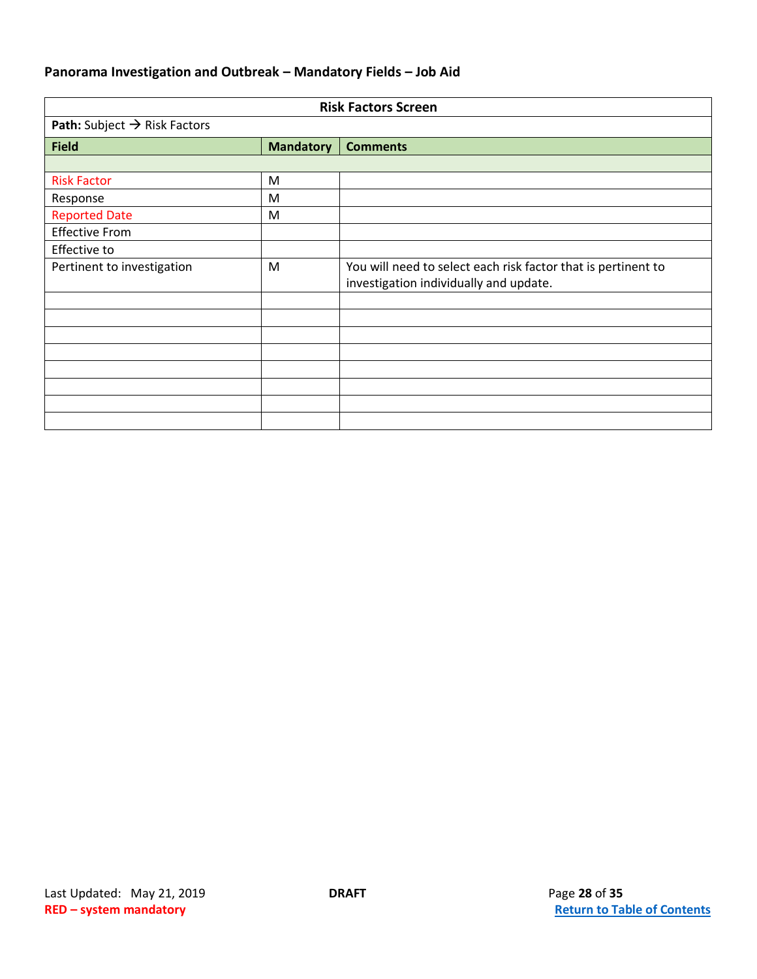<span id="page-27-0"></span>

| <b>Risk Factors Screen</b>               |                  |                                                                                                         |
|------------------------------------------|------------------|---------------------------------------------------------------------------------------------------------|
| Path: Subject $\rightarrow$ Risk Factors |                  |                                                                                                         |
| <b>Field</b>                             | <b>Mandatory</b> | <b>Comments</b>                                                                                         |
|                                          |                  |                                                                                                         |
| <b>Risk Factor</b>                       | M                |                                                                                                         |
| Response                                 | M                |                                                                                                         |
| <b>Reported Date</b>                     | M                |                                                                                                         |
| <b>Effective From</b>                    |                  |                                                                                                         |
| Effective to                             |                  |                                                                                                         |
| Pertinent to investigation               | M                | You will need to select each risk factor that is pertinent to<br>investigation individually and update. |
|                                          |                  |                                                                                                         |
|                                          |                  |                                                                                                         |
|                                          |                  |                                                                                                         |
|                                          |                  |                                                                                                         |
|                                          |                  |                                                                                                         |
|                                          |                  |                                                                                                         |
|                                          |                  |                                                                                                         |
|                                          |                  |                                                                                                         |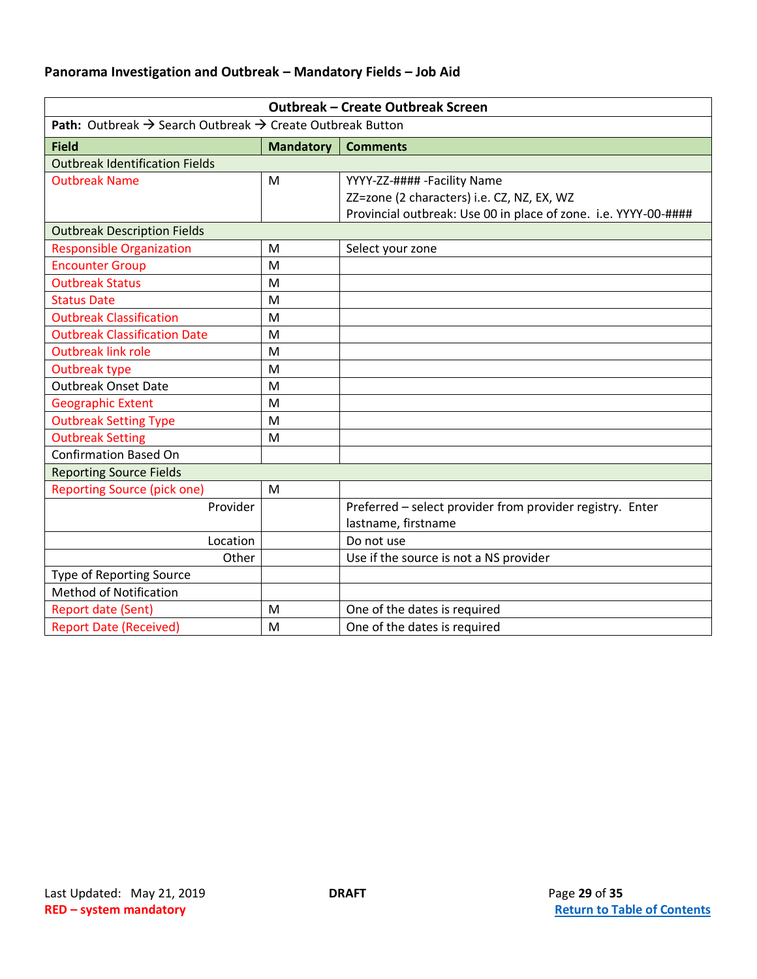<span id="page-28-0"></span>

| <b>Outbreak - Create Outbreak Screen</b>                                                 |                  |                                                                 |
|------------------------------------------------------------------------------------------|------------------|-----------------------------------------------------------------|
| <b>Path:</b> Outbreak $\rightarrow$ Search Outbreak $\rightarrow$ Create Outbreak Button |                  |                                                                 |
| <b>Field</b>                                                                             | <b>Mandatory</b> | <b>Comments</b>                                                 |
| <b>Outbreak Identification Fields</b>                                                    |                  |                                                                 |
| <b>Outbreak Name</b>                                                                     | M                | YYYY-ZZ-#### -Facility Name                                     |
|                                                                                          |                  | ZZ=zone (2 characters) i.e. CZ, NZ, EX, WZ                      |
|                                                                                          |                  | Provincial outbreak: Use 00 in place of zone. i.e. YYYY-00-#### |
| <b>Outbreak Description Fields</b>                                                       |                  |                                                                 |
| <b>Responsible Organization</b>                                                          | M                | Select your zone                                                |
| <b>Encounter Group</b>                                                                   | M                |                                                                 |
| <b>Outbreak Status</b>                                                                   | M                |                                                                 |
| <b>Status Date</b>                                                                       | M                |                                                                 |
| <b>Outbreak Classification</b>                                                           | M                |                                                                 |
| <b>Outbreak Classification Date</b>                                                      | M                |                                                                 |
| <b>Outbreak link role</b>                                                                | M                |                                                                 |
| Outbreak type                                                                            | M                |                                                                 |
| <b>Outbreak Onset Date</b>                                                               | M                |                                                                 |
| <b>Geographic Extent</b>                                                                 | M                |                                                                 |
| <b>Outbreak Setting Type</b>                                                             | M                |                                                                 |
| <b>Outbreak Setting</b>                                                                  | M                |                                                                 |
| <b>Confirmation Based On</b>                                                             |                  |                                                                 |
| <b>Reporting Source Fields</b>                                                           |                  |                                                                 |
| <b>Reporting Source (pick one)</b>                                                       | M                |                                                                 |
| Provider                                                                                 |                  | Preferred - select provider from provider registry. Enter       |
|                                                                                          |                  | lastname, firstname                                             |
| Location                                                                                 |                  | Do not use                                                      |
| Other                                                                                    |                  | Use if the source is not a NS provider                          |
| Type of Reporting Source                                                                 |                  |                                                                 |
| <b>Method of Notification</b>                                                            |                  |                                                                 |
| <b>Report date (Sent)</b>                                                                | M                | One of the dates is required                                    |
| <b>Report Date (Received)</b>                                                            | M                | One of the dates is required                                    |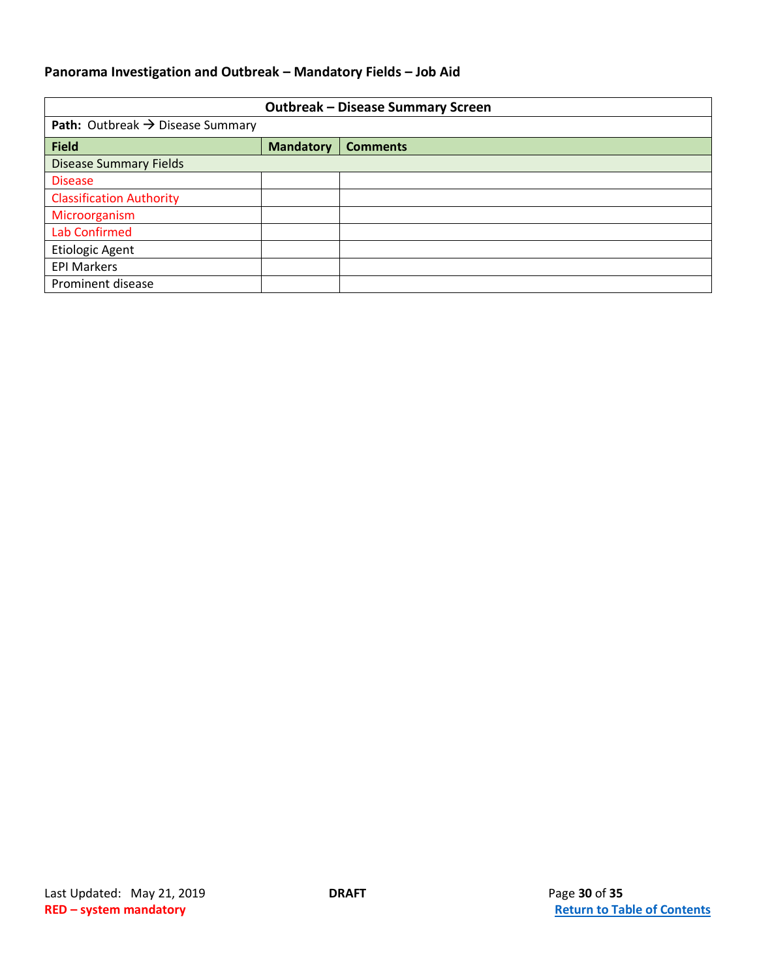<span id="page-29-0"></span>

| <b>Outbreak - Disease Summary Screen</b>            |                  |                 |
|-----------------------------------------------------|------------------|-----------------|
| <b>Path:</b> Outbreak $\rightarrow$ Disease Summary |                  |                 |
| <b>Field</b>                                        | <b>Mandatory</b> | <b>Comments</b> |
| <b>Disease Summary Fields</b>                       |                  |                 |
| <b>Disease</b>                                      |                  |                 |
| <b>Classification Authority</b>                     |                  |                 |
| Microorganism                                       |                  |                 |
| <b>Lab Confirmed</b>                                |                  |                 |
| <b>Etiologic Agent</b>                              |                  |                 |
| <b>EPI Markers</b>                                  |                  |                 |
| Prominent disease                                   |                  |                 |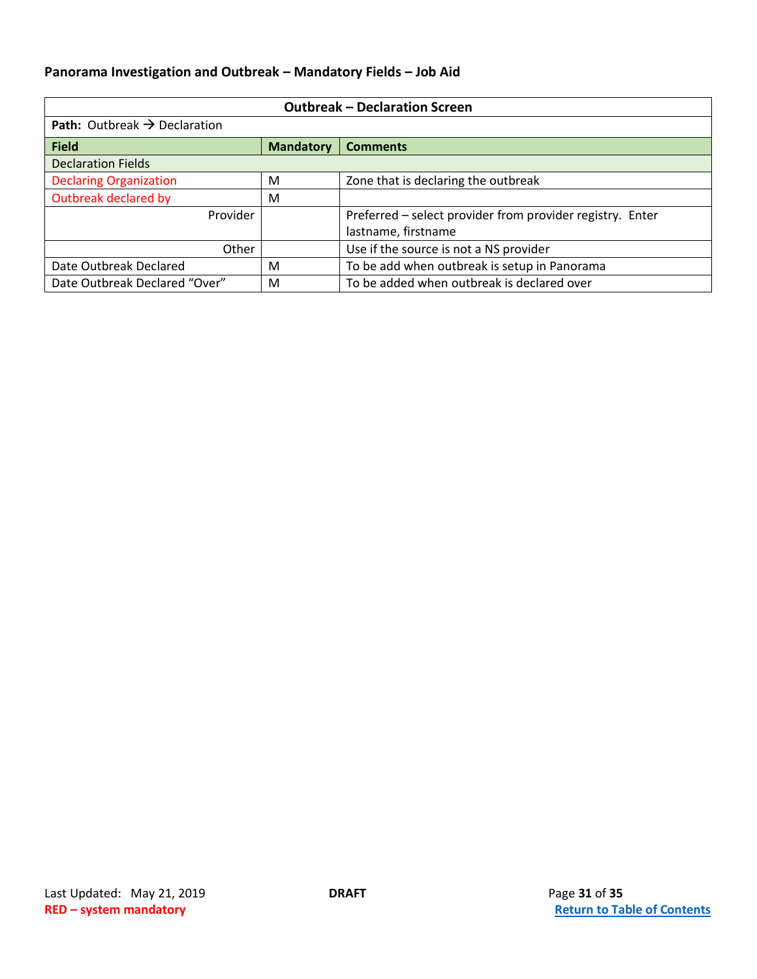<span id="page-30-0"></span>

| <b>Outbreak - Declaration Screen</b>            |                  |                                                           |
|-------------------------------------------------|------------------|-----------------------------------------------------------|
| <b>Path:</b> Outbreak $\rightarrow$ Declaration |                  |                                                           |
| <b>Field</b>                                    | <b>Mandatory</b> | <b>Comments</b>                                           |
| <b>Declaration Fields</b>                       |                  |                                                           |
| <b>Declaring Organization</b>                   | м                | Zone that is declaring the outbreak                       |
| Outbreak declared by                            | M                |                                                           |
| Provider                                        |                  | Preferred - select provider from provider registry. Enter |
| lastname, firstname                             |                  |                                                           |
| Use if the source is not a NS provider<br>Other |                  |                                                           |
| Date Outbreak Declared                          | M                | To be add when outbreak is setup in Panorama              |
| Date Outbreak Declared "Over"                   | M                | To be added when outbreak is declared over                |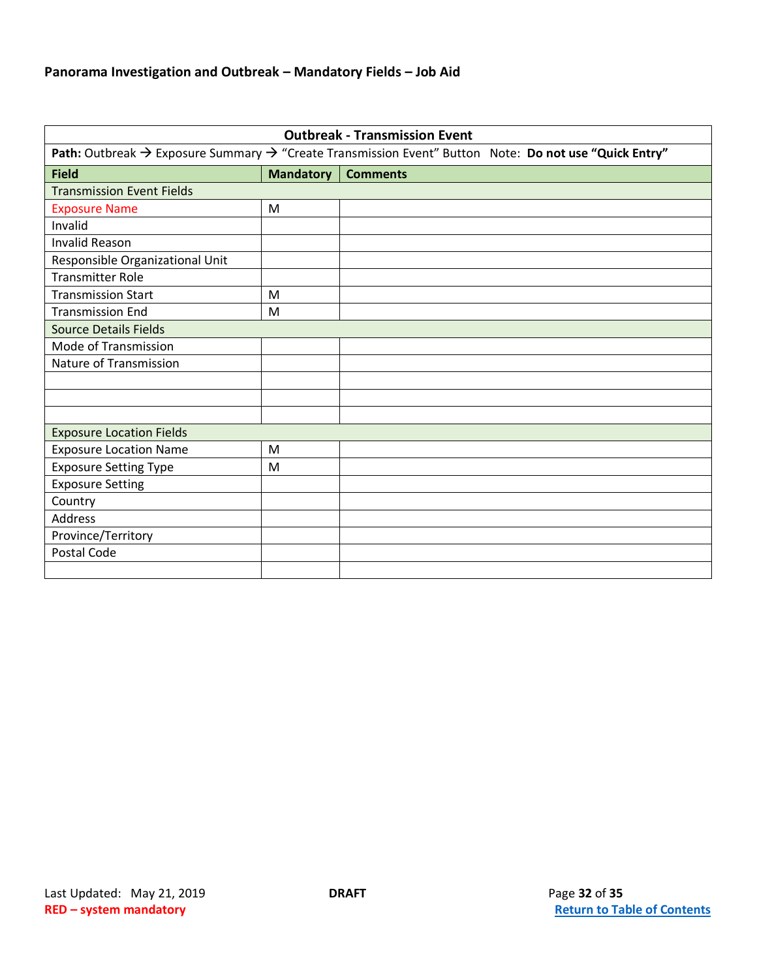<span id="page-31-0"></span>

| <b>Outbreak - Transmission Event</b>                                                                                          |                  |                 |
|-------------------------------------------------------------------------------------------------------------------------------|------------------|-----------------|
| Path: Outbreak $\rightarrow$ Exposure Summary $\rightarrow$ "Create Transmission Event" Button Note: Do not use "Quick Entry" |                  |                 |
| <b>Field</b>                                                                                                                  | <b>Mandatory</b> | <b>Comments</b> |
| <b>Transmission Event Fields</b>                                                                                              |                  |                 |
| <b>Exposure Name</b>                                                                                                          | M                |                 |
| Invalid                                                                                                                       |                  |                 |
| <b>Invalid Reason</b>                                                                                                         |                  |                 |
| Responsible Organizational Unit                                                                                               |                  |                 |
| <b>Transmitter Role</b>                                                                                                       |                  |                 |
| <b>Transmission Start</b>                                                                                                     | M                |                 |
| <b>Transmission End</b>                                                                                                       | M                |                 |
| <b>Source Details Fields</b>                                                                                                  |                  |                 |
| Mode of Transmission                                                                                                          |                  |                 |
| Nature of Transmission                                                                                                        |                  |                 |
|                                                                                                                               |                  |                 |
|                                                                                                                               |                  |                 |
|                                                                                                                               |                  |                 |
| <b>Exposure Location Fields</b>                                                                                               |                  |                 |
| <b>Exposure Location Name</b>                                                                                                 | M                |                 |
| <b>Exposure Setting Type</b>                                                                                                  | M                |                 |
| <b>Exposure Setting</b>                                                                                                       |                  |                 |
| Country                                                                                                                       |                  |                 |
| <b>Address</b>                                                                                                                |                  |                 |
| Province/Territory                                                                                                            |                  |                 |
| Postal Code                                                                                                                   |                  |                 |
|                                                                                                                               |                  |                 |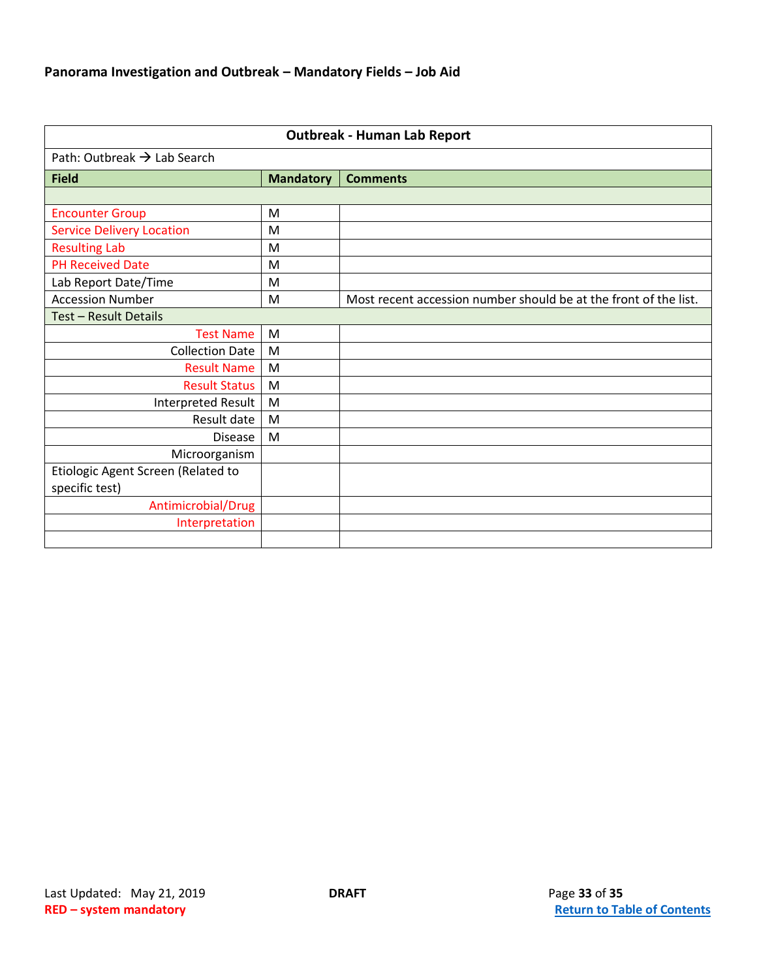<span id="page-32-0"></span>

| <b>Outbreak - Human Lab Report</b>      |                  |                                                                  |
|-----------------------------------------|------------------|------------------------------------------------------------------|
| Path: Outbreak $\rightarrow$ Lab Search |                  |                                                                  |
| <b>Field</b>                            | <b>Mandatory</b> | <b>Comments</b>                                                  |
|                                         |                  |                                                                  |
| <b>Encounter Group</b>                  | M                |                                                                  |
| <b>Service Delivery Location</b>        | M                |                                                                  |
| <b>Resulting Lab</b>                    | M                |                                                                  |
| <b>PH Received Date</b>                 | M                |                                                                  |
| Lab Report Date/Time                    | M                |                                                                  |
| <b>Accession Number</b>                 | M                | Most recent accession number should be at the front of the list. |
| Test - Result Details                   |                  |                                                                  |
| <b>Test Name</b>                        | M                |                                                                  |
| <b>Collection Date</b>                  | M                |                                                                  |
| <b>Result Name</b>                      | M                |                                                                  |
| <b>Result Status</b>                    | M                |                                                                  |
| Interpreted Result                      | M                |                                                                  |
| Result date                             | M                |                                                                  |
| <b>Disease</b>                          | M                |                                                                  |
| Microorganism                           |                  |                                                                  |
| Etiologic Agent Screen (Related to      |                  |                                                                  |
| specific test)                          |                  |                                                                  |
| Antimicrobial/Drug                      |                  |                                                                  |
| Interpretation                          |                  |                                                                  |
|                                         |                  |                                                                  |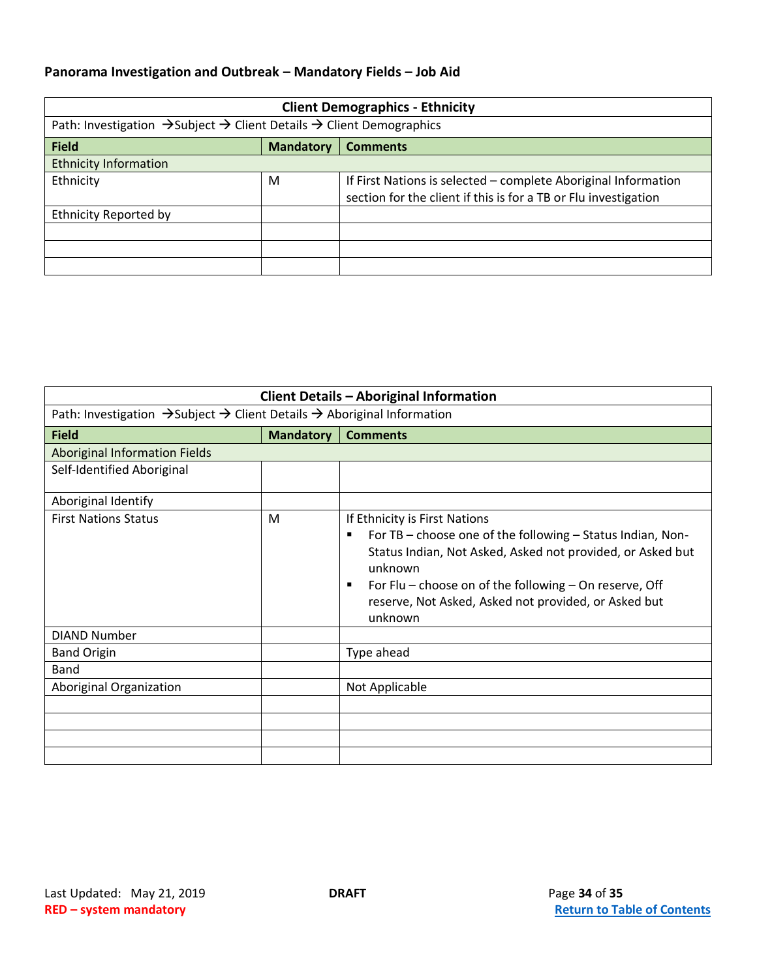<span id="page-33-0"></span>

| <b>Client Demographics - Ethnicity</b>                                                                   |                  |                                                                                                                                   |
|----------------------------------------------------------------------------------------------------------|------------------|-----------------------------------------------------------------------------------------------------------------------------------|
| Path: Investigation $\rightarrow$ Subject $\rightarrow$ Client Details $\rightarrow$ Client Demographics |                  |                                                                                                                                   |
| <b>Field</b>                                                                                             | <b>Mandatory</b> | <b>Comments</b>                                                                                                                   |
| <b>Ethnicity Information</b>                                                                             |                  |                                                                                                                                   |
| Ethnicity                                                                                                | M                | If First Nations is selected – complete Aboriginal Information<br>section for the client if this is for a TB or Flu investigation |
| <b>Ethnicity Reported by</b>                                                                             |                  |                                                                                                                                   |
|                                                                                                          |                  |                                                                                                                                   |
|                                                                                                          |                  |                                                                                                                                   |
|                                                                                                          |                  |                                                                                                                                   |

<span id="page-33-1"></span>

| <b>Client Details - Aboriginal Information</b>                                                              |                  |                                                                                                                                                                                                                                                                                                                          |
|-------------------------------------------------------------------------------------------------------------|------------------|--------------------------------------------------------------------------------------------------------------------------------------------------------------------------------------------------------------------------------------------------------------------------------------------------------------------------|
| Path: Investigation $\rightarrow$ Subject $\rightarrow$ Client Details $\rightarrow$ Aboriginal Information |                  |                                                                                                                                                                                                                                                                                                                          |
| <b>Field</b>                                                                                                | <b>Mandatory</b> | <b>Comments</b>                                                                                                                                                                                                                                                                                                          |
| <b>Aboriginal Information Fields</b>                                                                        |                  |                                                                                                                                                                                                                                                                                                                          |
| Self-Identified Aboriginal                                                                                  |                  |                                                                                                                                                                                                                                                                                                                          |
| Aboriginal Identify                                                                                         |                  |                                                                                                                                                                                                                                                                                                                          |
| <b>First Nations Status</b>                                                                                 | M                | If Ethnicity is First Nations<br>For TB - choose one of the following - Status Indian, Non-<br>٠<br>Status Indian, Not Asked, Asked not provided, or Asked but<br>unknown<br>For Flu – choose on of the following – On reserve, Off<br>$\blacksquare$<br>reserve, Not Asked, Asked not provided, or Asked but<br>unknown |
| <b>DIAND Number</b><br><b>Band Origin</b>                                                                   |                  | Type ahead                                                                                                                                                                                                                                                                                                               |
| Band                                                                                                        |                  |                                                                                                                                                                                                                                                                                                                          |
| Aboriginal Organization                                                                                     |                  | Not Applicable                                                                                                                                                                                                                                                                                                           |
|                                                                                                             |                  |                                                                                                                                                                                                                                                                                                                          |
|                                                                                                             |                  |                                                                                                                                                                                                                                                                                                                          |
|                                                                                                             |                  |                                                                                                                                                                                                                                                                                                                          |